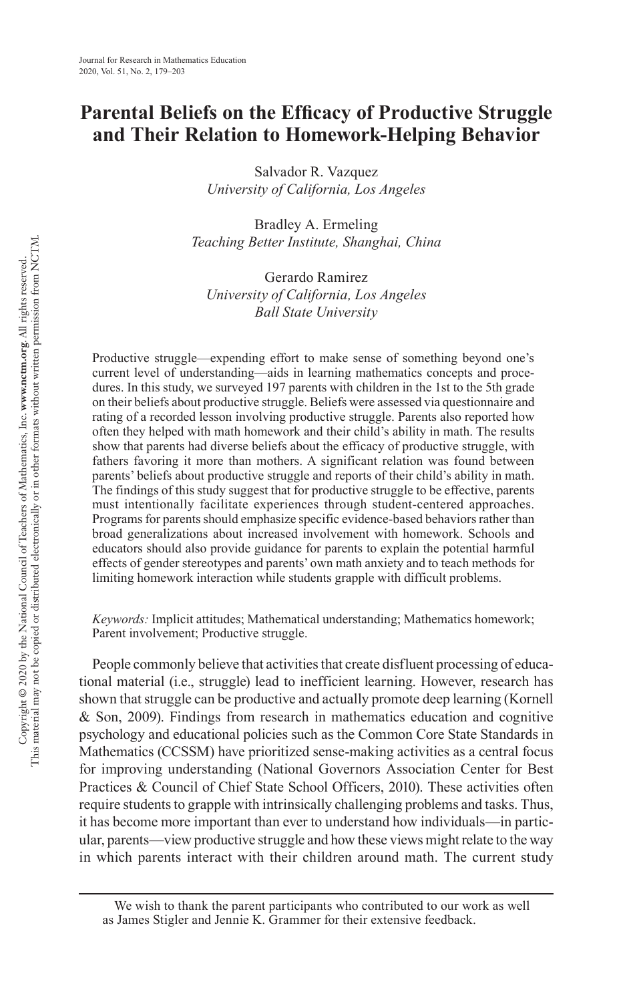# **Parental Beliefs on the Efficacy of Productive Struggle and Their Relation to Homework-Helping Behavior**

Salvador R. Vazquez *University of California, Los Angeles*

Bradley A. Ermeling *Teaching Better Institute, Shanghai, China*

Gerardo Ramirez *University of California, Los Angeles Ball State University*

Productive struggle—expending effort to make sense of something beyond one's current level of understanding—aids in learning mathematics concepts and procedures. In this study, we surveyed 197 parents with children in the 1st to the 5th grade on their beliefs about productive struggle. Beliefs were assessed via questionnaire and rating of a recorded lesson involving productive struggle. Parents also reported how often they helped with math homework and their child's ability in math. The results show that parents had diverse beliefs about the efficacy of productive struggle, with fathers favoring it more than mothers. A significant relation was found between parents' beliefs about productive struggle and reports of their child's ability in math. The findings of this study suggest that for productive struggle to be effective, parents must intentionally facilitate experiences through student-centered approaches. Programs for parents should emphasize specific evidence-based behaviors rather than broad generalizations about increased involvement with homework. Schools and educators should also provide guidance for parents to explain the potential harmful effects of gender stereotypes and parents' own math anxiety and to teach methods for limiting homework interaction while students grapple with difficult problems.

*Keywords:* Implicit attitudes; Mathematical understanding; Mathematics homework; Parent involvement; Productive struggle.

People commonly believe that activities that create disfluent processing of educational material (i.e., struggle) lead to inefficient learning. However, research has shown that struggle can be productive and actually promote deep learning ([Kornell](#page-22-0)  [& Son, 2009\)](#page-22-0). Findings from research in mathematics education and cognitive psychology and educational policies such as the Common Core State Standards in Mathematics (CCSSM) have prioritized sense-making activities as a central focus for improving understanding ([National Governors Association Center for Best](#page-22-1)  [Practices & Council of Chief State School Officers, 2010\)](#page-22-1). These activities often require students to grapple with intrinsically challenging problems and tasks. Thus, it has become more important than ever to understand how individuals—in particular, parents—view productive struggle and how these views might relate to the way in which parents interact with their children around math. The current study

We wish to thank the parent participants who contributed to our work as well as James Stigler and Jennie K. Grammer for their extensive feedback.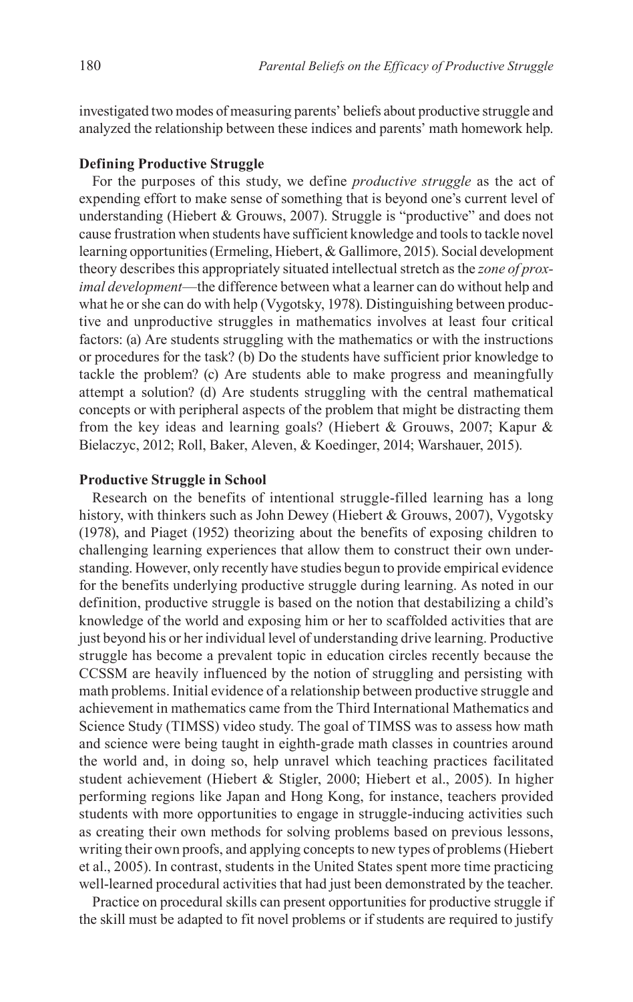investigated two modes of measuring parents' beliefs about productive struggle and analyzed the relationship between these indices and parents' math homework help.

### **Defining Productive Struggle**

For the purposes of this study, we define *productive struggle* as the act of expending effort to make sense of something that is beyond one's current level of understanding ([Hiebert & Grouws, 2007](#page-21-0)). Struggle is "productive" and does not cause frustration when students have sufficient knowledge and tools to tackle novel learning opportunities ([Ermeling, Hiebert, & Gallimore, 2015](#page-20-0)). Social development theory describes this appropriately situated intellectual stretch as the *zone of proximal development*—the difference between what a learner can do without help and what he or she can do with help ([Vygotsky, 1978](#page-23-0)). Distinguishing between productive and unproductive struggles in mathematics involves at least four critical factors: (a) Are students struggling with the mathematics or with the instructions or procedures for the task? (b) Do the students have sufficient prior knowledge to tackle the problem? (c) Are students able to make progress and meaningfully attempt a solution? (d) Are students struggling with the central mathematical concepts or with peripheral aspects of the problem that might be distracting them from the key ideas and learning goals? ([Hiebert & Grouws, 2007;](#page-21-0) [Kapur &](#page-21-1)  [Bielaczyc, 2012](#page-21-1); [Roll, Baker, Aleven, & Koedinger, 2014](#page-22-2); [Warshauer, 2015](#page-23-1)).

### **Productive Struggle in School**

Research on the benefits of intentional struggle-filled learning has a long history, with thinkers such as John Dewey ([Hiebert & Grouws, 2007](#page-21-0)), [Vygotsky](#page-23-0)  [\(1978\),](#page-23-0) and [Piaget \(1952\)](#page-22-3) theorizing about the benefits of exposing children to challenging learning experiences that allow them to construct their own understanding. However, only recently have studies begun to provide empirical evidence for the benefits underlying productive struggle during learning. As noted in our definition, productive struggle is based on the notion that destabilizing a child's knowledge of the world and exposing him or her to scaffolded activities that are just beyond his or her individual level of understanding drive learning. Productive struggle has become a prevalent topic in education circles recently because the CCSSM are heavily influenced by the notion of struggling and persisting with math problems. Initial evidence of a relationship between productive struggle and achievement in mathematics came from the Third International Mathematics and Science Study (TIMSS) video study. The goal of TIMSS was to assess how math and science were being taught in eighth-grade math classes in countries around the world and, in doing so, help unravel which teaching practices facilitated student achievement ([Hiebert & Stigler, 2000](#page-21-2); [Hiebert et al., 2005\)](#page-21-3). In higher performing regions like Japan and Hong Kong, for instance, teachers provided students with more opportunities to engage in struggle-inducing activities such as creating their own methods for solving problems based on previous lessons, writing their own proofs, and applying concepts to new types of problems ([Hiebert](#page-21-3)  [et al., 2005\)](#page-21-3). In contrast, students in the United States spent more time practicing well-learned procedural activities that had just been demonstrated by the teacher.

Practice on procedural skills can present opportunities for productive struggle if the skill must be adapted to fit novel problems or if students are required to justify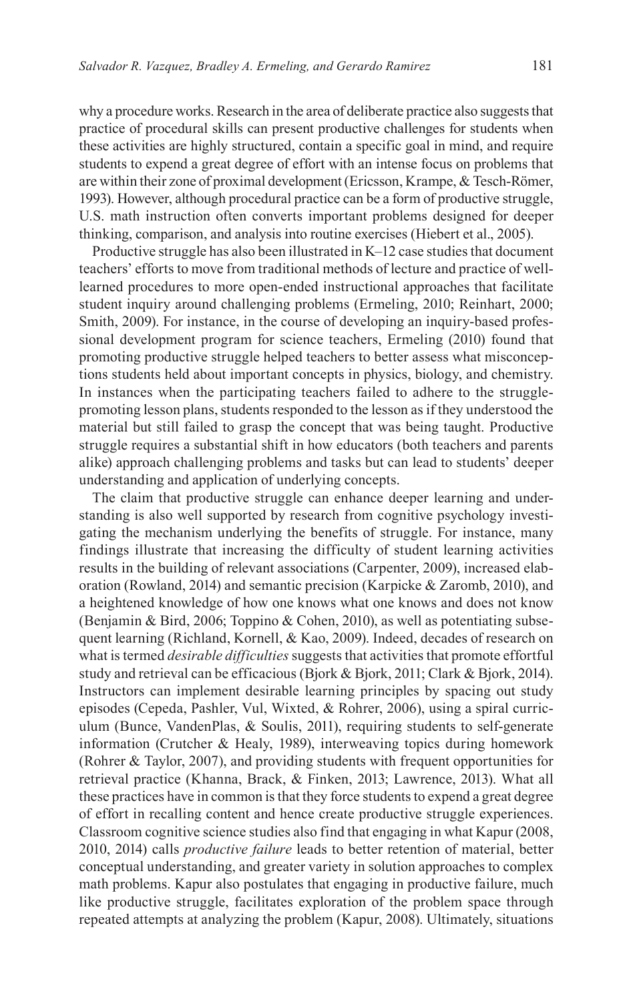why a procedure works. Research in the area of deliberate practice also suggests that practice of procedural skills can present productive challenges for students when these activities are highly structured, contain a specific goal in mind, and require students to expend a great degree of effort with an intense focus on problems that are within their zone of proximal development ([Ericsson, Krampe, & Tesch-Römer,](#page-20-1)  [1993\)](#page-20-1). However, although procedural practice can be a form of productive struggle, U.S. math instruction often converts important problems designed for deeper thinking, comparison, and analysis into routine exercises ([Hiebert et al., 2005](#page-21-3)).

Productive struggle has also been illustrated in K–12 case studies that document teachers' efforts to move from traditional methods of lecture and practice of welllearned procedures to more open-ended instructional approaches that facilitate student inquiry around challenging problems [\(Ermeling, 2010;](#page-20-2) [Reinhart, 2000](#page-22-4); [Smith, 2009](#page-23-2)). For instance, in the course of developing an inquiry-based professional development program for science teachers, [Ermeling \(2010\)](#page-20-2) found that promoting productive struggle helped teachers to better assess what misconceptions students held about important concepts in physics, biology, and chemistry. In instances when the participating teachers failed to adhere to the strugglepromoting lesson plans, students responded to the lesson as if they understood the material but still failed to grasp the concept that was being taught. Productive struggle requires a substantial shift in how educators (both teachers and parents alike) approach challenging problems and tasks but can lead to students' deeper understanding and application of underlying concepts.

The claim that productive struggle can enhance deeper learning and understanding is also well supported by research from cognitive psychology investigating the mechanism underlying the benefits of struggle. For instance, many findings illustrate that increasing the difficulty of student learning activities results in the building of relevant associations [\(Carpenter, 2009\)](#page-20-3), increased elaboration [\(Rowland, 2014\)](#page-23-3) and semantic precision ([Karpicke & Zaromb, 2010](#page-21-4)), and a heightened knowledge of how one knows what one knows and does not know ([Benjamin & Bird, 2006](#page-19-0); [Toppino & Cohen, 2010](#page-23-4)), as well as potentiating subsequent learning ([Richland, Kornell, & Kao, 2009\)](#page-22-5). Indeed, decades of research on what is termed *desirable difficulties* suggests that activities that promote effortful study and retrieval can be efficacious ([Bjork & Bjork, 2011;](#page-19-1) [Clark & Bjork, 2014](#page-20-4)). Instructors can implement desirable learning principles by spacing out study episodes [\(Cepeda, Pashler, Vul, Wixted, & Rohrer, 2006\)](#page-20-5), using a spiral curriculum ([Bunce, VandenPlas, & Soulis, 2011\)](#page-20-6), requiring students to self-generate information [\(Crutcher & Healy, 1989](#page-20-7)), interweaving topics during homework ([Rohrer & Taylor, 2007](#page-22-6)), and providing students with frequent opportunities for retrieval practice [\(Khanna, Brack, & Finken, 2013;](#page-21-5) [Lawrence, 2013](#page-22-7)). What all these practices have in common is that they force students to expend a great degree of effort in recalling content and hence create productive struggle experiences. Classroom cognitive science studies also find that engaging in what [Kapur \(2008,](#page-21-6) [2010,](#page-21-7) [2014\)](#page-21-8) calls *productive failure* leads to better retention of material, better conceptual understanding, and greater variety in solution approaches to complex math problems. Kapur also postulates that engaging in productive failure, much like productive struggle, facilitates exploration of the problem space through repeated attempts at analyzing the problem [\(Kapur, 2008](#page-21-6)). Ultimately, situations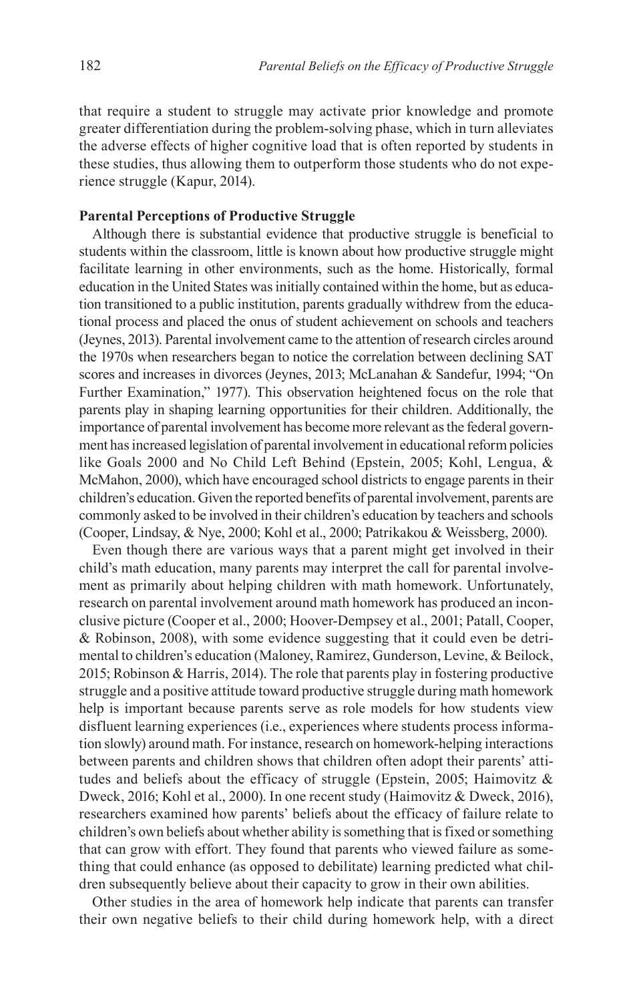that require a student to struggle may activate prior knowledge and promote greater differentiation during the problem-solving phase, which in turn alleviates the adverse effects of higher cognitive load that is often reported by students in these studies, thus allowing them to outperform those students who do not experience struggle ([Kapur, 2014\)](#page-21-8).

### **Parental Perceptions of Productive Struggle**

Although there is substantial evidence that productive struggle is beneficial to students within the classroom, little is known about how productive struggle might facilitate learning in other environments, such as the home. Historically, formal education in the United States was initially contained within the home, but as education transitioned to a public institution, parents gradually withdrew from the educational process and placed the onus of student achievement on schools and teachers [\(Jeynes, 2013](#page-21-9)). Parental involvement came to the attention of research circles around the 1970s when researchers began to notice the correlation between declining SAT scores and increases in divorces [\(Jeynes, 2013](#page-21-9); [McLanahan & Sandefur, 1994](#page-22-8); ["On](#page-22-9) [Further Examination," 1977\)](#page-22-9). This observation heightened focus on the role that parents play in shaping learning opportunities for their children. Additionally, the importance of parental involvement has become more relevant as the federal government has increased legislation of parental involvement in educational reform policies like Goals 2000 and No Child Left Behind ([Epstein, 2005;](#page-20-8) [Kohl, Lengua, &](#page-21-10)  [McMahon, 2000\)](#page-21-10), which have encouraged school districts to engage parents in their children's education. Given the reported benefits of parental involvement, parents are commonly asked to be involved in their children's education by teachers and schools [\(Cooper, Lindsay, & Nye, 2000](#page-20-9); [Kohl et al., 2000;](#page-21-10) [Patrikakou & Weissberg, 2000\)](#page-22-10).

Even though there are various ways that a parent might get involved in their child's math education, many parents may interpret the call for parental involvement as primarily about helping children with math homework. Unfortunately, research on parental involvement around math homework has produced an inconclusive picture [\(Cooper et al., 2000](#page-20-9); [Hoover-Dempsey et al., 2001](#page-21-11); [Patall, Cooper,](#page-22-11) [& Robinson, 2008](#page-22-11)), with some evidence suggesting that it could even be detrimental to children's education ([Maloney, Ramirez, Gunderson, Levine, & Beilock,](#page-22-12)  [2015;](#page-22-12) [Robinson & Harris, 2014\)](#page-22-13). The role that parents play in fostering productive struggle and a positive attitude toward productive struggle during math homework help is important because parents serve as role models for how students view disfluent learning experiences (i.e., experiences where students process information slowly) around math. For instance, research on homework-helping interactions between parents and children shows that children often adopt their parents' atti-tudes and beliefs about the efficacy of struggle ([Epstein, 2005;](#page-20-8) Haimovitz  $\&$ [Dweck, 2016;](#page-21-12) [Kohl et al., 2000](#page-21-10)). In one recent study ([Haimovitz & Dweck, 2016](#page-21-12)), researchers examined how parents' beliefs about the efficacy of failure relate to children's own beliefs about whether ability is something that is fixed or something that can grow with effort. They found that parents who viewed failure as something that could enhance (as opposed to debilitate) learning predicted what children subsequently believe about their capacity to grow in their own abilities.

Other studies in the area of homework help indicate that parents can transfer their own negative beliefs to their child during homework help, with a direct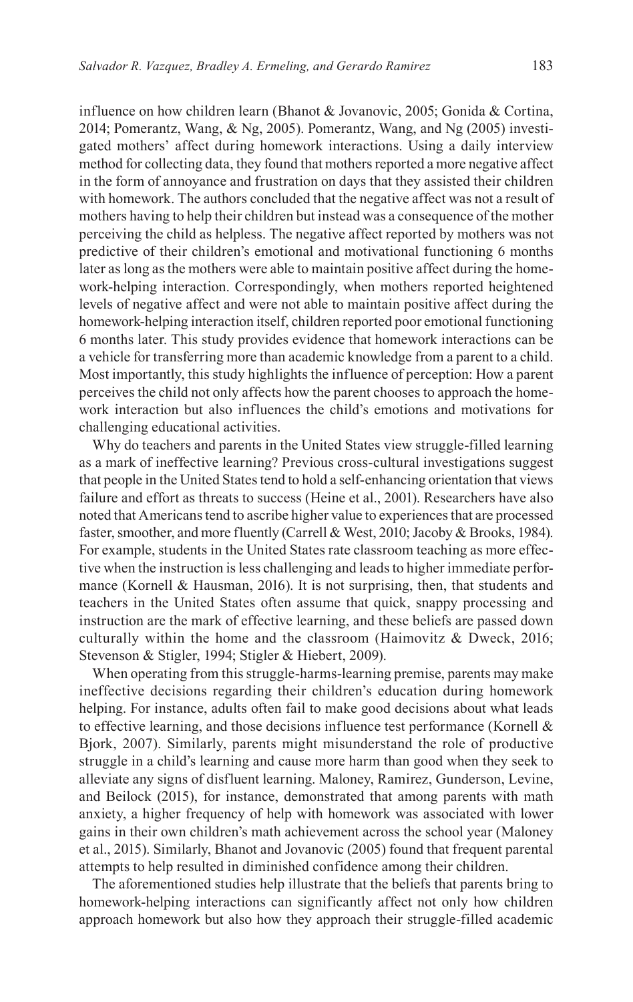influence on how children learn ([Bhanot & Jovanovic, 2005](#page-19-2); [Gonida & Cortina,](#page-20-10) [2014;](#page-20-10) [Pomerantz, Wang, & Ng, 2005](#page-22-14)). [Pomerantz, Wang, and Ng \(2005\)](#page-22-14) investigated mothers' affect during homework interactions. Using a daily interview method for collecting data, they found that mothers reported a more negative affect in the form of annoyance and frustration on days that they assisted their children with homework. The authors concluded that the negative affect was not a result of mothers having to help their children but instead was a consequence of the mother perceiving the child as helpless. The negative affect reported by mothers was not predictive of their children's emotional and motivational functioning 6 months later as long as the mothers were able to maintain positive affect during the homework-helping interaction. Correspondingly, when mothers reported heightened levels of negative affect and were not able to maintain positive affect during the homework-helping interaction itself, children reported poor emotional functioning 6 months later. This study provides evidence that homework interactions can be a vehicle for transferring more than academic knowledge from a parent to a child. Most importantly, this study highlights the influence of perception: How a parent perceives the child not only affects how the parent chooses to approach the homework interaction but also influences the child's emotions and motivations for challenging educational activities.

Why do teachers and parents in the United States view struggle-filled learning as a mark of ineffective learning? Previous cross-cultural investigations suggest that people in the United States tend to hold a self-enhancing orientation that views failure and effort as threats to success ([Heine et al., 2001](#page-21-13)). Researchers have also noted that Americans tend to ascribe higher value to experiences that are processed faster, smoother, and more fluently [\(Carrell & West, 2010](#page-20-11); [Jacoby & Brooks, 1984](#page-21-14)). For example, students in the United States rate classroom teaching as more effective when the instruction is less challenging and leads to higher immediate perfor-mance ([Kornell & Hausman, 2016\)](#page-22-15). It is not surprising, then, that students and teachers in the United States often assume that quick, snappy processing and instruction are the mark of effective learning, and these beliefs are passed down culturally within the home and the classroom ([Haimovitz & Dweck, 2016](#page-21-12); [Stevenson & Stigler, 1994;](#page-23-5) [Stigler & Hiebert, 2009](#page-23-6)).

When operating from this struggle-harms-learning premise, parents may make ineffective decisions regarding their children's education during homework helping. For instance, adults often fail to make good decisions about what leads to effective learning, and those decisions influence test performance (Kornell  $\&$ [Bjork, 2007](#page-22-16)). Similarly, parents might misunderstand the role of productive struggle in a child's learning and cause more harm than good when they seek to alleviate any signs of disfluent learning. [Maloney, Ramirez, Gunderson, Levine,](#page-22-12)  [and Beilock \(2015\),](#page-22-12) for instance, demonstrated that among parents with math anxiety, a higher frequency of help with homework was associated with lower gains in their own children's math achievement across the school year [\(Maloney](#page-22-12)  [et al., 2015\)](#page-22-12). Similarly, [Bhanot and Jovanovic \(2005\)](#page-19-2) found that frequent parental attempts to help resulted in diminished confidence among their children.

The aforementioned studies help illustrate that the beliefs that parents bring to homework-helping interactions can significantly affect not only how children approach homework but also how they approach their struggle-filled academic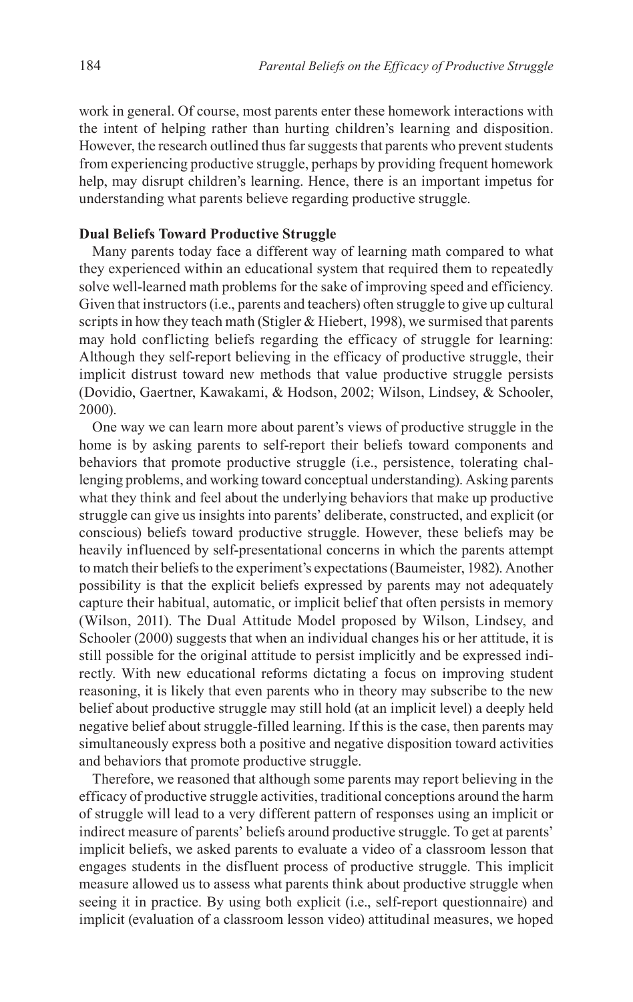work in general. Of course, most parents enter these homework interactions with the intent of helping rather than hurting children's learning and disposition. However, the research outlined thus far suggests that parents who prevent students from experiencing productive struggle, perhaps by providing frequent homework help, may disrupt children's learning. Hence, there is an important impetus for understanding what parents believe regarding productive struggle.

### **Dual Beliefs Toward Productive Struggle**

Many parents today face a different way of learning math compared to what they experienced within an educational system that required them to repeatedly solve well-learned math problems for the sake of improving speed and efficiency. Given that instructors (i.e., parents and teachers) often struggle to give up cultural scripts in how they teach math (Stigler  $&$  Hiebert, 1998), we surmised that parents may hold conflicting beliefs regarding the efficacy of struggle for learning: Although they self-report believing in the efficacy of productive struggle, their implicit distrust toward new methods that value productive struggle persists ([Dovidio, Gaertner, Kawakami, & Hodson, 2002;](#page-20-12) [Wilson, Lindsey, & Schooler,](#page-23-8)  [2000](#page-23-8)).

One way we can learn more about parent's views of productive struggle in the home is by asking parents to self-report their beliefs toward components and behaviors that promote productive struggle (i.e., persistence, tolerating challenging problems, and working toward conceptual understanding). Asking parents what they think and feel about the underlying behaviors that make up productive struggle can give us insights into parents' deliberate, constructed, and explicit (or conscious) beliefs toward productive struggle. However, these beliefs may be heavily influenced by self-presentational concerns in which the parents attempt to match their beliefs to the experiment's expectations ([Baumeister, 1982\)](#page-19-3). Another possibility is that the explicit beliefs expressed by parents may not adequately capture their habitual, automatic, or implicit belief that often persists in memory ([Wilson, 2011\)](#page-23-9). The Dual Attitude Model proposed by [Wilson, Lindsey, and](#page-23-8) [Schooler \(2000\)](#page-23-8) suggests that when an individual changes his or her attitude, it is still possible for the original attitude to persist implicitly and be expressed indirectly. With new educational reforms dictating a focus on improving student reasoning, it is likely that even parents who in theory may subscribe to the new belief about productive struggle may still hold (at an implicit level) a deeply held negative belief about struggle-filled learning. If this is the case, then parents may simultaneously express both a positive and negative disposition toward activities and behaviors that promote productive struggle.

Therefore, we reasoned that although some parents may report believing in the efficacy of productive struggle activities, traditional conceptions around the harm of struggle will lead to a very different pattern of responses using an implicit or indirect measure of parents' beliefs around productive struggle. To get at parents' implicit beliefs, we asked parents to evaluate a video of a classroom lesson that engages students in the disfluent process of productive struggle. This implicit measure allowed us to assess what parents think about productive struggle when seeing it in practice. By using both explicit (i.e., self-report questionnaire) and implicit (evaluation of a classroom lesson video) attitudinal measures, we hoped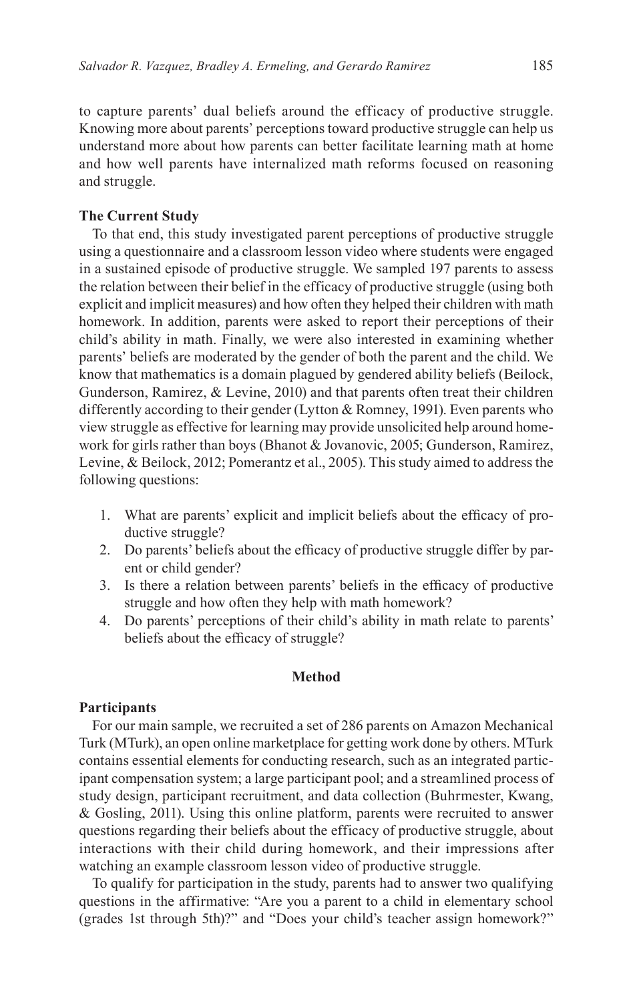to capture parents' dual beliefs around the efficacy of productive struggle. Knowing more about parents' perceptions toward productive struggle can help us understand more about how parents can better facilitate learning math at home and how well parents have internalized math reforms focused on reasoning and struggle.

### **The Current Study**

To that end, this study investigated parent perceptions of productive struggle using a questionnaire and a classroom lesson video where students were engaged in a sustained episode of productive struggle. We sampled 197 parents to assess the relation between their belief in the efficacy of productive struggle (using both explicit and implicit measures) and how often they helped their children with math homework. In addition, parents were asked to report their perceptions of their child's ability in math. Finally, we were also interested in examining whether parents' beliefs are moderated by the gender of both the parent and the child. We know that mathematics is a domain plagued by gendered ability beliefs ([Beilock,](#page-19-4)  [Gunderson, Ramirez, & Levine, 2010](#page-19-4)) and that parents often treat their children differently according to their gender [\(Lytton & Romney, 1991\)](#page-22-17). Even parents who view struggle as effective for learning may provide unsolicited help around homework for girls rather than boys ([Bhanot & Jovanovic, 2005](#page-19-2); [Gunderson, Ramirez,](#page-21-15)  [Levine, & Beilock, 2012](#page-21-15); [Pomerantz et al., 2005](#page-22-14)). This study aimed to address the following questions:

- 1. What are parents' explicit and implicit beliefs about the efficacy of productive struggle?
- 2. Do parents' beliefs about the efficacy of productive struggle differ by parent or child gender?
- 3. Is there a relation between parents' beliefs in the efficacy of productive struggle and how often they help with math homework?
- 4. Do parents' perceptions of their child's ability in math relate to parents' beliefs about the efficacy of struggle?

### **Method**

### **Participants**

For our main sample, we recruited a set of 286 parents on Amazon Mechanical Turk (MTurk), an open online marketplace for getting work done by others. MTurk contains essential elements for conducting research, such as an integrated participant compensation system; a large participant pool; and a streamlined process of study design, participant recruitment, and data collection ([Buhrmester, Kwang,](#page-20-13)  [& Gosling, 2011\)](#page-20-13). Using this online platform, parents were recruited to answer questions regarding their beliefs about the efficacy of productive struggle, about interactions with their child during homework, and their impressions after watching an example classroom lesson video of productive struggle.

To qualify for participation in the study, parents had to answer two qualifying questions in the affirmative: "Are you a parent to a child in elementary school (grades 1st through 5th)?" and "Does your child's teacher assign homework?"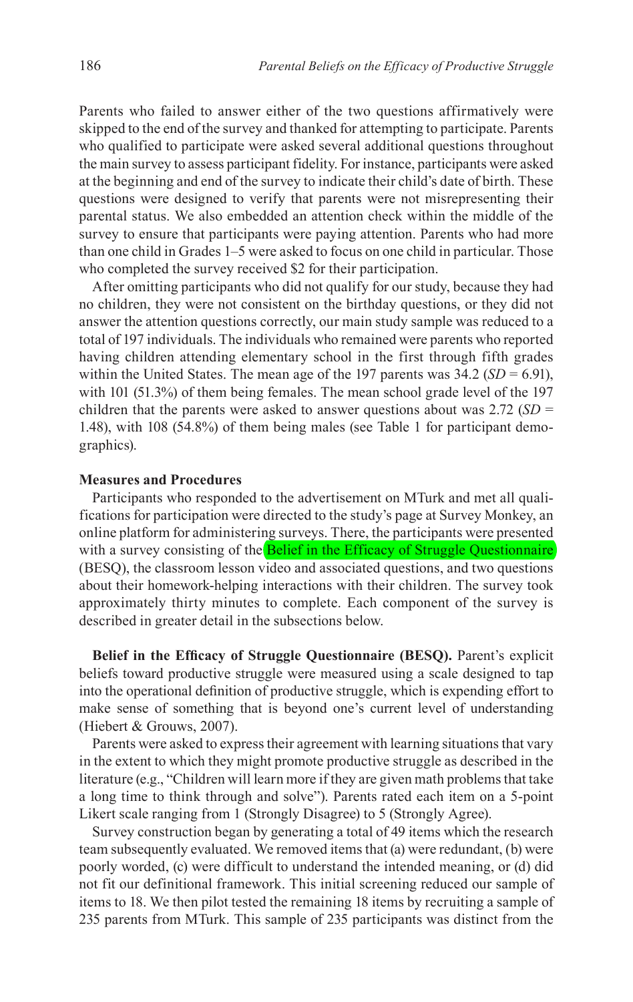Parents who failed to answer either of the two questions affirmatively were skipped to the end of the survey and thanked for attempting to participate. Parents who qualified to participate were asked several additional questions throughout the main survey to assess participant fidelity. For instance, participants were asked at the beginning and end of the survey to indicate their child's date of birth. These questions were designed to verify that parents were not misrepresenting their parental status. We also embedded an attention check within the middle of the survey to ensure that participants were paying attention. Parents who had more than one child in Grades 1–5 were asked to focus on one child in particular. Those who completed the survey received \$2 for their participation.

After omitting participants who did not qualify for our study, because they had no children, they were not consistent on the birthday questions, or they did not answer the attention questions correctly, our main study sample was reduced to a total of 197 individuals. The individuals who remained were parents who reported having children attending elementary school in the first through fifth grades within the United States. The mean age of the 197 parents was  $34.2$  (*SD* = 6.91), with 101 (51.3%) of them being females. The mean school grade level of the 197 children that the parents were asked to answer questions about was 2.72 (*SD* = 1.48), with 108 (54.8%) of them being males (see [Table 1](#page-8-0) for participant demographics).

### **Measures and Procedures**

Participants who responded to the advertisement on MTurk and met all qualifications for participation were directed to the study's page at Survey Monkey, an online platform for administering surveys. There, the participants were presented with a survey consisting of the **Belief** in the Efficacy of Struggle Questionnaire (BESQ), the classroom lesson video and associated questions, and two questions about their homework-helping interactions with their children. The survey took approximately thirty minutes to complete. Each component of the survey is described in greater detail in the subsections below.

**Belief in the Efficacy of Struggle Questionnaire (BESQ).** Parent's explicit beliefs toward productive struggle were measured using a scale designed to tap into the operational definition of productive struggle, which is expending effort to make sense of something that is beyond one's current level of understanding [\(Hiebert & Grouws, 2007\)](#page-21-0).

Parents were asked to express their agreement with learning situations that vary in the extent to which they might promote productive struggle as described in the literature (e.g., "Children will learn more if they are given math problems that take a long time to think through and solve"). Parents rated each item on a 5-point Likert scale ranging from 1 (Strongly Disagree) to 5 (Strongly Agree).

Survey construction began by generating a total of 49 items which the research team subsequently evaluated. We removed items that (a) were redundant, (b) were poorly worded, (c) were difficult to understand the intended meaning, or (d) did not fit our definitional framework. This initial screening reduced our sample of items to 18. We then pilot tested the remaining 18 items by recruiting a sample of 235 parents from MTurk. This sample of 235 participants was distinct from the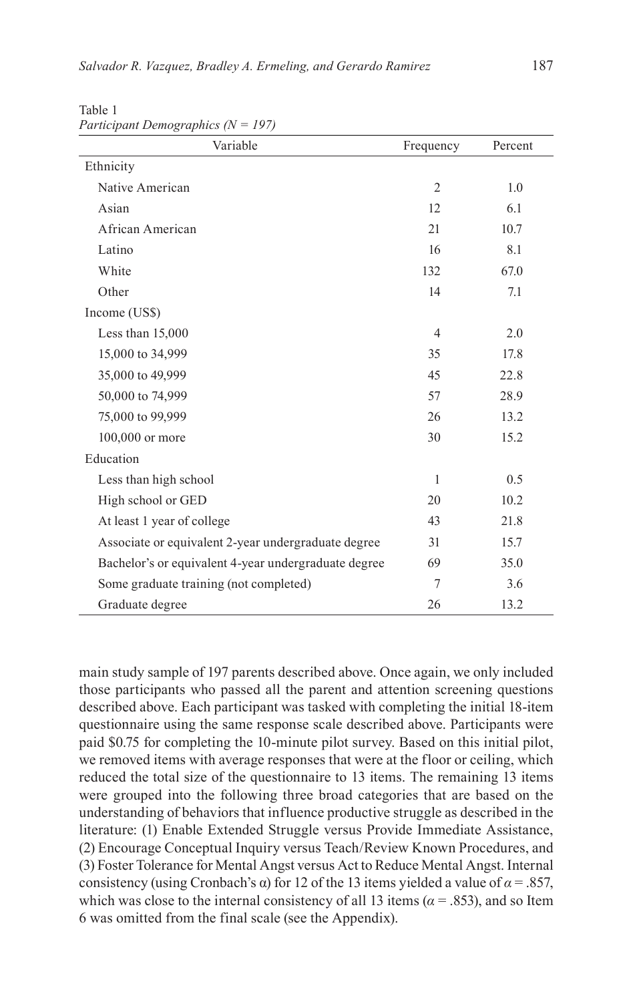| Variable                                             | Frequency      | Percent |
|------------------------------------------------------|----------------|---------|
| Ethnicity                                            |                |         |
| Native American                                      | $\overline{2}$ | 1.0     |
| Asian                                                | 12             | 6.1     |
| African American                                     | 21             | 10.7    |
| Latino                                               | 16             | 8.1     |
| White                                                | 132            | 67.0    |
| Other                                                | 14             | 7.1     |
| Income (US\$)                                        |                |         |
| Less than $15,000$                                   | $\overline{4}$ | 2.0     |
| 15,000 to 34,999                                     | 35             | 17.8    |
| 35,000 to 49,999                                     | 45             | 22.8    |
| 50,000 to 74,999                                     | 57             | 28.9    |
| 75,000 to 99,999                                     | 26             | 13.2    |
| 100,000 or more                                      | 30             | 15.2    |
| Education                                            |                |         |
| Less than high school                                | $\mathbf{1}$   | 0.5     |
| High school or GED                                   | 20             | 10.2    |
| At least 1 year of college                           | 43             | 21.8    |
| Associate or equivalent 2-year undergraduate degree  | 31             | 15.7    |
| Bachelor's or equivalent 4-year undergraduate degree | 69             | 35.0    |
| Some graduate training (not completed)               | 7              | 3.6     |
| Graduate degree                                      | 26             | 13.2    |

<span id="page-8-0"></span>Table 1 *Participant Demographics (N = 197)*

main study sample of 197 parents described above. Once again, we only included those participants who passed all the parent and attention screening questions described above. Each participant was tasked with completing the initial 18-item questionnaire using the same response scale described above. Participants were paid \$0.75 for completing the 10-minute pilot survey. Based on this initial pilot, we removed items with average responses that were at the floor or ceiling, which reduced the total size of the questionnaire to 13 items. The remaining 13 items were grouped into the following three broad categories that are based on the understanding of behaviors that influence productive struggle as described in the literature: (1) Enable Extended Struggle versus Provide Immediate Assistance, (2) Encourage Conceptual Inquiry versus Teach/Review Known Procedures, and (3) Foster Tolerance for Mental Angst versus Act to Reduce Mental Angst. Internal consistency (using Cronbach's α) for 12 of the 13 items yielded a value of  $α = .857$ , which was close to the internal consistency of all 13 items ( $\alpha$  = .853), and so Item 6 was omitted from the final scale (see the [Appendix](#page-24-0)).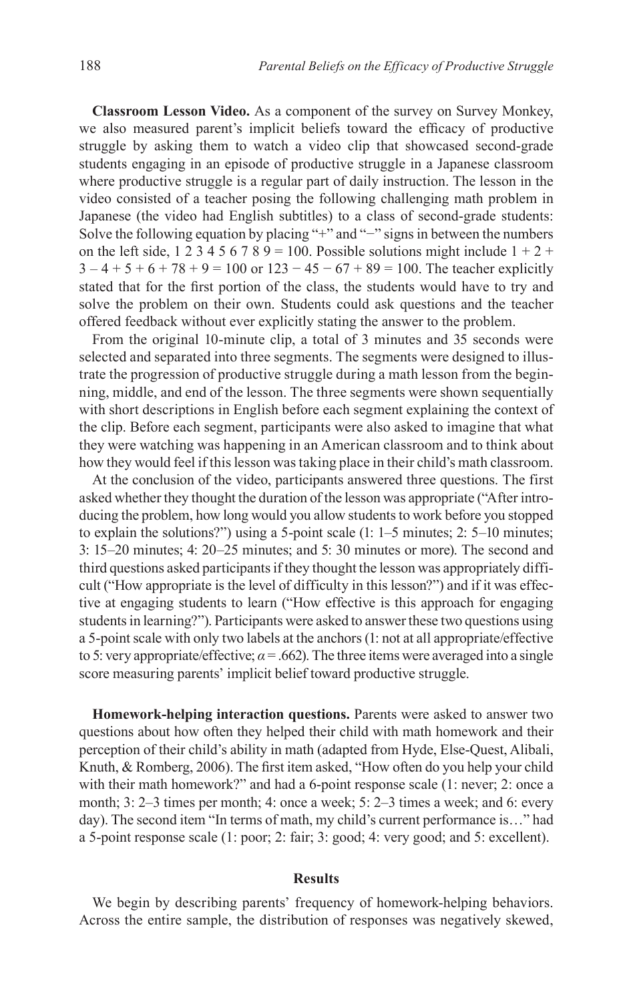**Classroom Lesson Video.** As a component of the survey on Survey Monkey, we also measured parent's implicit beliefs toward the efficacy of productive struggle by asking them to watch a video clip that showcased second-grade students engaging in an episode of productive struggle in a Japanese classroom where productive struggle is a regular part of daily instruction. The lesson in the video consisted of a teacher posing the following challenging math problem in Japanese (the video had English subtitles) to a class of second-grade students: Solve the following equation by placing "+" and "−" signs in between the numbers on the left side,  $1\ 2\ 3\ 4\ 5\ 6\ 7\ 8\ 9 = 100$ . Possible solutions might include  $1 + 2 +$  $3 - 4 + 5 + 6 + 78 + 9 = 100$  or  $123 - 45 - 67 + 89 = 100$ . The teacher explicitly stated that for the first portion of the class, the students would have to try and solve the problem on their own. Students could ask questions and the teacher offered feedback without ever explicitly stating the answer to the problem.

From the original 10-minute clip, a total of 3 minutes and 35 seconds were selected and separated into three segments. The segments were designed to illustrate the progression of productive struggle during a math lesson from the beginning, middle, and end of the lesson. The three segments were shown sequentially with short descriptions in English before each segment explaining the context of the clip. Before each segment, participants were also asked to imagine that what they were watching was happening in an American classroom and to think about how they would feel if this lesson was taking place in their child's math classroom.

At the conclusion of the video, participants answered three questions. The first asked whether they thought the duration of the lesson was appropriate ("After introducing the problem, how long would you allow students to work before you stopped to explain the solutions?") using a 5-point scale (1: 1–5 minutes; 2: 5–10 minutes; 3: 15–20 minutes; 4: 20–25 minutes; and 5: 30 minutes or more). The second and third questions asked participants if they thought the lesson was appropriately difficult ("How appropriate is the level of difficulty in this lesson?") and if it was effective at engaging students to learn ("How effective is this approach for engaging students in learning?"). Participants were asked to answer these two questions using a 5-point scale with only two labels at the anchors (1: not at all appropriate/effective to 5: very appropriate/effective;  $\alpha$  = .662). The three items were averaged into a single score measuring parents' implicit belief toward productive struggle.

**Homework-helping interaction questions.** Parents were asked to answer two questions about how often they helped their child with math homework and their perception of their child's ability in math (adapted from [Hyde, Else-Quest, Alibali,](#page-21-16) [Knuth, & Romberg, 2006\)](#page-21-16). The first item asked, "How often do you help your child with their math homework?" and had a 6-point response scale (1: never; 2: once a month; 3: 2–3 times per month; 4: once a week; 5: 2–3 times a week; and 6: every day). The second item "In terms of math, my child's current performance is…" had a 5-point response scale (1: poor; 2: fair; 3: good; 4: very good; and 5: excellent).

### **Results**

We begin by describing parents' frequency of homework-helping behaviors. Across the entire sample, the distribution of responses was negatively skewed,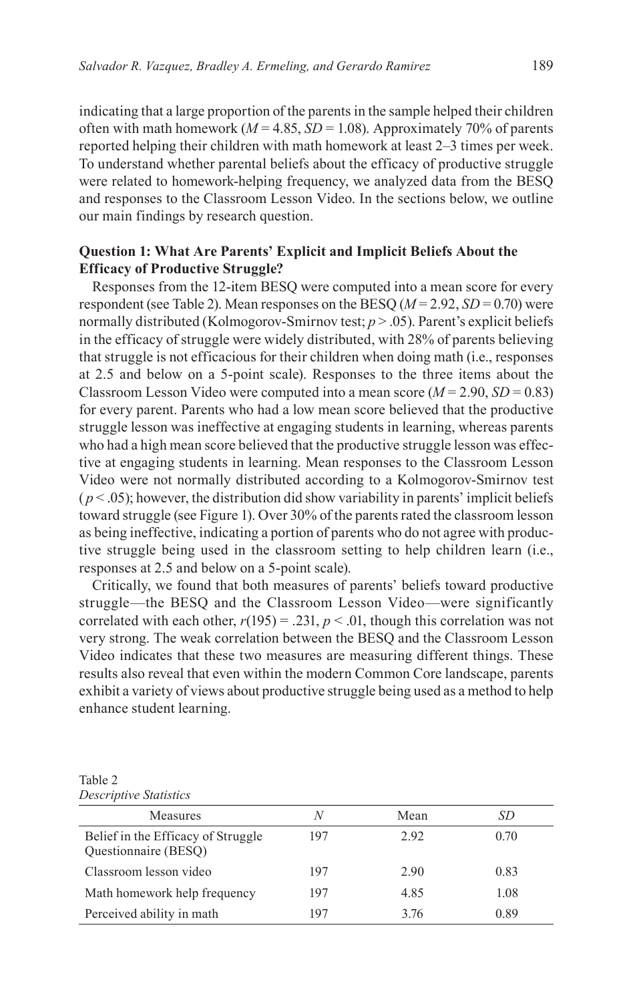indicating that a large proportion of the parents in the sample helped their children often with math homework ( $M = 4.85$ ,  $SD = 1.08$ ). Approximately 70% of parents reported helping their children with math homework at least 2–3 times per week. To understand whether parental beliefs about the efficacy of productive struggle were related to homework-helping frequency, we analyzed data from the BESQ and responses to the Classroom Lesson Video. In the sections below, we outline our main findings by research question.

# **Question 1: What Are Parents' Explicit and Implicit Beliefs About the Efficacy of Productive Struggle?**

Responses from the 12-item BESQ were computed into a mean score for every respondent (see [Table 2\)](#page-10-0). Mean responses on the BESQ  $(M = 2.92, SD = 0.70)$  were normally distributed (Kolmogorov-Smirnov test; *p* > .05). Parent's explicit beliefs in the efficacy of struggle were widely distributed, with 28% of parents believing that struggle is not efficacious for their children when doing math (i.e., responses at 2.5 and below on a 5-point scale). Responses to the three items about the Classroom Lesson Video were computed into a mean score  $(M = 2.90, SD = 0.83)$ for every parent. Parents who had a low mean score believed that the productive struggle lesson was ineffective at engaging students in learning, whereas parents who had a high mean score believed that the productive struggle lesson was effective at engaging students in learning. Mean responses to the Classroom Lesson Video were not normally distributed according to a Kolmogorov-Smirnov test  $(p < .05)$ ; however, the distribution did show variability in parents' implicit beliefs toward struggle (see [Figure 1\)](#page-11-0). Over 30% of the parents rated the classroom lesson as being ineffective, indicating a portion of parents who do not agree with productive struggle being used in the classroom setting to help children learn (i.e., responses at 2.5 and below on a 5-point scale).

Critically, we found that both measures of parents' beliefs toward productive struggle—the BESQ and the Classroom Lesson Video—were significantly correlated with each other,  $r(195) = .231$ ,  $p < .01$ , though this correlation was not very strong. The weak correlation between the BESQ and the Classroom Lesson Video indicates that these two measures are measuring different things. These results also reveal that even within the modern Common Core landscape, parents exhibit a variety of views about productive struggle being used as a method to help enhance student learning.

<span id="page-10-0"></span>

| Table 2                |  |
|------------------------|--|
| Descriptive Statistics |  |

| Measures                                                   | N   | Mean | SD   |
|------------------------------------------------------------|-----|------|------|
| Belief in the Efficacy of Struggle<br>Questionnaire (BESQ) | 197 | 2.92 | 0.70 |
| Classroom lesson video                                     | 197 | 2.90 | 0.83 |
| Math homework help frequency                               | 197 | 4.85 | 1.08 |
| Perceived ability in math                                  | 197 | 3.76 | 0.89 |
|                                                            |     |      |      |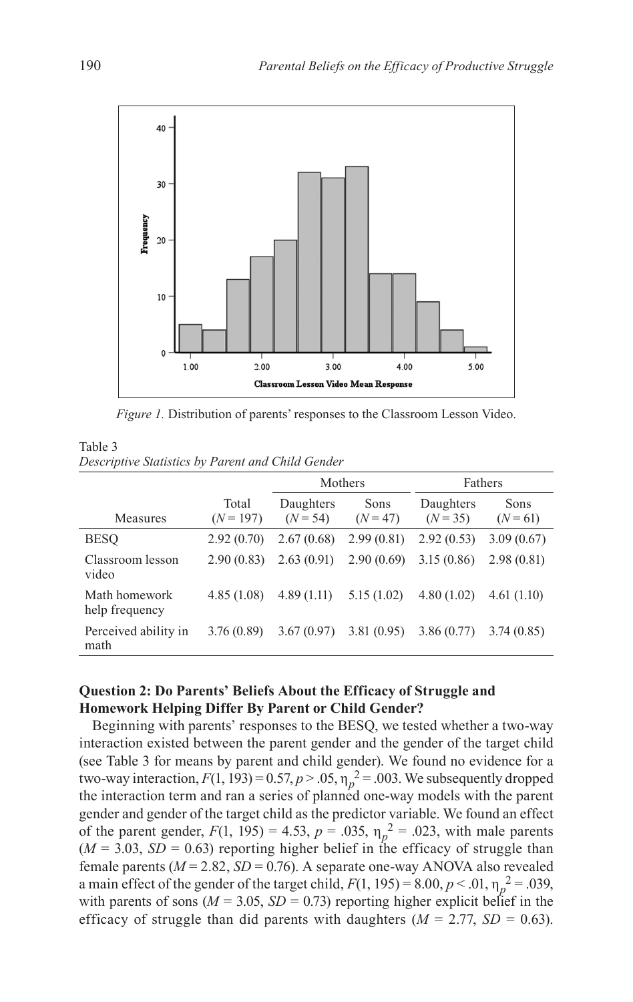

<span id="page-11-0"></span>*Figure 1.* Distribution of parents' responses to the Classroom Lesson Video.

<span id="page-11-1"></span>

| Table 3                                           |  |  |
|---------------------------------------------------|--|--|
| Descriptive Statistics by Parent and Child Gender |  |  |

|                                 |                      | Mothers                 |                    | Fathers                 |                    |
|---------------------------------|----------------------|-------------------------|--------------------|-------------------------|--------------------|
| Measures                        | Total<br>$(N = 197)$ | Daughters<br>$(N = 54)$ | Sons<br>$(N = 47)$ | Daughters<br>$(N = 35)$ | Sons<br>$(N = 61)$ |
| <b>BESO</b>                     | 2.92(0.70)           | 2.67(0.68)              | 2.99(0.81)         | 2.92(0.53)              | 3.09(0.67)         |
| Classroom lesson<br>video       | 2.90(0.83)           | 2.63(0.91)              | 2.90(0.69)         | 3.15(0.86)              | 2.98(0.81)         |
| Math homework<br>help frequency | 4.85(1.08)           | 4.89(1.11)              | 5.15(1.02)         | 4.80(1.02)              | 4.61(1.10)         |
| Perceived ability in<br>math    | 3.76(0.89)           | 3.67(0.97)              | 3.81(0.95)         | 3.86(0.77)              | 3.74(0.85)         |

# **Question 2: Do Parents' Beliefs About the Efficacy of Struggle and Homework Helping Differ By Parent or Child Gender?**

Beginning with parents' responses to the BESQ, we tested whether a two-way interaction existed between the parent gender and the gender of the target child (see [Table 3](#page-11-1) for means by parent and child gender). We found no evidence for a two-way interaction,  $F(1, 193) = 0.57$ ,  $p > .05$ ,  $\eta_p^2 = .003$ . We subsequently dropped the interaction term and ran a series of planned one-way models with the parent gender and gender of the target child as the predictor variable. We found an effect of the parent gender,  $F(1, 195) = 4.53$ ,  $p = .035$ ,  $\eta_p^2 = .023$ , with male parents  $(M = 3.03, SD = 0.63)$  reporting higher belief in the efficacy of struggle than female parents ( $M = 2.82$ ,  $SD = 0.76$ ). A separate one-way ANOVA also revealed a main effect of the gender of the target child,  $F(1, 195) = 8.00, p < .01, \eta_p^2 = .039$ , with parents of sons ( $M = 3.05$ ,  $SD = 0.73$ ) reporting higher explicit belief in the efficacy of struggle than did parents with daughters  $(M = 2.77, SD = 0.63)$ .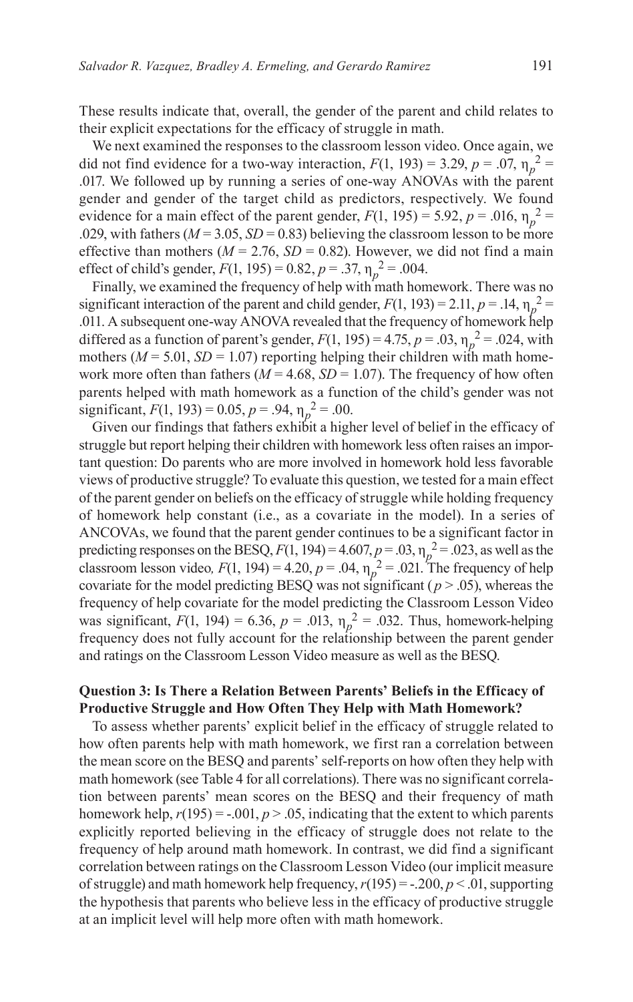These results indicate that, overall, the gender of the parent and child relates to their explicit expectations for the efficacy of struggle in math.

We next examined the responses to the classroom lesson video. Once again, we did not find evidence for a two-way interaction,  $F(1, 193) = 3.29$ ,  $p = .07$ ,  $\eta_p^2 =$ .017. We followed up by running a series of one-way ANOVAs with the parent gender and gender of the target child as predictors, respectively. We found evidence for a main effect of the parent gender,  $F(1, 195) = 5.92$ ,  $p = .016$ ,  $\eta_p^2 =$ .029, with fathers ( $M = 3.05$ ,  $SD = 0.83$ ) believing the classroom lesson to be more effective than mothers ( $M = 2.76$ ,  $SD = 0.82$ ). However, we did not find a main effect of child's gender,  $F(1, 195) = 0.82$ ,  $p = .37$ ,  $\eta_p^2 = .004$ .

Finally, we examined the frequency of help with math homework. There was no significant interaction of the parent and child gender,  $F(1, 193) = 2.11$ ,  $p = .14$ ,  $\eta_p^2 =$ .011. A subsequent one-way ANOVA revealed that the frequency of homework help differed as a function of parent's gender,  $F(1, 195) = 4.75$ ,  $p = .03$ ,  $\eta_p^2 = .024$ , with mothers ( $M = 5.01$ ,  $SD = 1.07$ ) reporting helping their children with math homework more often than fathers ( $M = 4.68$ ,  $SD = 1.07$ ). The frequency of how often parents helped with math homework as a function of the child's gender was not significant,  $F(1, 193) = 0.05$ ,  $p = .94$ ,  $\eta_p^2 = .00$ .

Given our findings that fathers exhibit a higher level of belief in the efficacy of struggle but report helping their children with homework less often raises an important question: Do parents who are more involved in homework hold less favorable views of productive struggle? To evaluate this question, we tested for a main effect of the parent gender on beliefs on the efficacy of struggle while holding frequency of homework help constant (i.e., as a covariate in the model). In a series of ANCOVAs, we found that the parent gender continues to be a significant factor in predicting responses on the BESQ,  $F(1, 194) = 4.607$ ,  $p = .03$ ,  $\eta_p^2 = .023$ , as well as the classroom lesson video,  $F(1, 194) = 4.20$ ,  $p = .04$ ,  $\eta_p^2 = .021$ . The frequency of help covariate for the model predicting BESQ was not significant ( $p > .05$ ), whereas the frequency of help covariate for the model predicting the Classroom Lesson Video was significant,  $F(1, 194) = 6.36$ ,  $p = .013$ ,  $\eta_p^2 = .032$ . Thus, homework-helping frequency does not fully account for the relationship between the parent gender and ratings on the Classroom Lesson Video measure as well as the BESQ.

## **Question 3: Is There a Relation Between Parents' Beliefs in the Efficacy of Productive Struggle and How Often They Help with Math Homework?**

To assess whether parents' explicit belief in the efficacy of struggle related to how often parents help with math homework, we first ran a correlation between the mean score on the BESQ and parents' self-reports on how often they help with math homework (see [Table 4](#page-13-0) for all correlations). There was no significant correlation between parents' mean scores on the BESQ and their frequency of math homework help,  $r(195) = -0.001$ ,  $p > 0.05$ , indicating that the extent to which parents explicitly reported believing in the efficacy of struggle does not relate to the frequency of help around math homework. In contrast, we did find a significant correlation between ratings on the Classroom Lesson Video (our implicit measure of struggle) and math homework help frequency,  $r(195) = -.200$ ,  $p < .01$ , supporting the hypothesis that parents who believe less in the efficacy of productive struggle at an implicit level will help more often with math homework.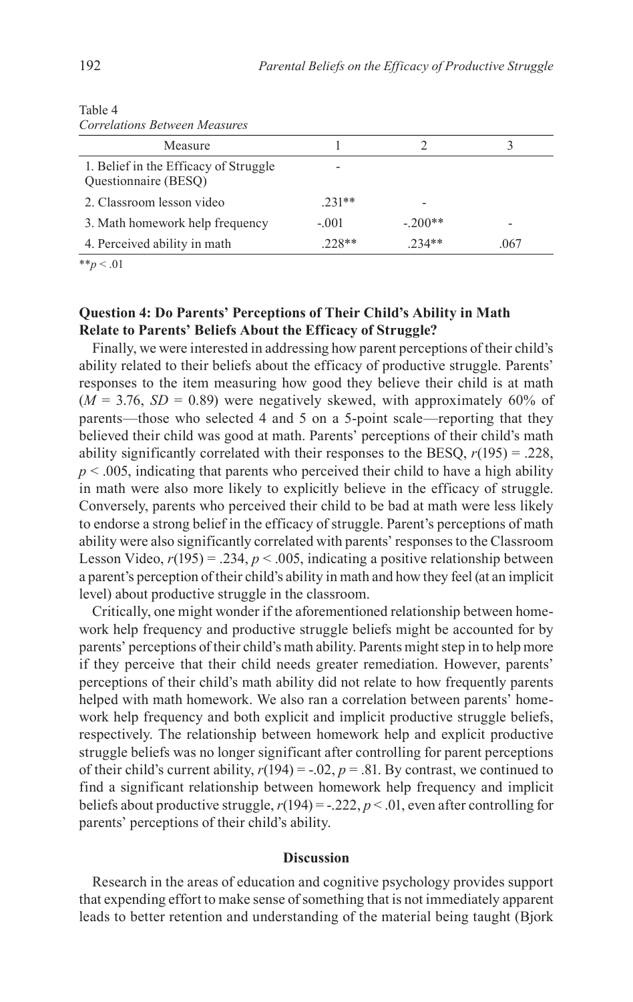| Correlations Between Measures                                 |          |           |      |
|---------------------------------------------------------------|----------|-----------|------|
| Measure                                                       |          |           |      |
| 1. Belief in the Efficacy of Struggle<br>Questionnaire (BESQ) |          |           |      |
| 2. Classroom lesson video                                     | $.231**$ |           |      |
| 3. Math homework help frequency                               | $-.001$  | $-.200**$ |      |
| 4. Perceived ability in math                                  | $228**$  | $234**$   | .067 |

<span id="page-13-0"></span>Table 4 *Correlations Between Measures*

 $*_{p}$  < .01

# **Question 4: Do Parents' Perceptions of Their Child's Ability in Math Relate to Parents' Beliefs About the Efficacy of Struggle?**

Finally, we were interested in addressing how parent perceptions of their child's ability related to their beliefs about the efficacy of productive struggle. Parents' responses to the item measuring how good they believe their child is at math  $(M = 3.76, SD = 0.89)$  were negatively skewed, with approximately 60% of parents—those who selected 4 and 5 on a 5-point scale—reporting that they believed their child was good at math. Parents' perceptions of their child's math ability significantly correlated with their responses to the BESQ,  $r(195) = .228$ ,  $p \le 0.005$ , indicating that parents who perceived their child to have a high ability in math were also more likely to explicitly believe in the efficacy of struggle. Conversely, parents who perceived their child to be bad at math were less likely to endorse a strong belief in the efficacy of struggle. Parent's perceptions of math ability were also significantly correlated with parents' responses to the Classroom Lesson Video,  $r(195) = .234$ ,  $p < .005$ , indicating a positive relationship between a parent's perception of their child's ability in math and how they feel (at an implicit level) about productive struggle in the classroom.

Critically, one might wonder if the aforementioned relationship between homework help frequency and productive struggle beliefs might be accounted for by parents' perceptions of their child's math ability. Parents might step in to help more if they perceive that their child needs greater remediation. However, parents' perceptions of their child's math ability did not relate to how frequently parents helped with math homework. We also ran a correlation between parents' homework help frequency and both explicit and implicit productive struggle beliefs, respectively. The relationship between homework help and explicit productive struggle beliefs was no longer significant after controlling for parent perceptions of their child's current ability,  $r(194) = -.02$ ,  $p = .81$ . By contrast, we continued to find a significant relationship between homework help frequency and implicit beliefs about productive struggle,  $r(194) = -.222$ ,  $p < .01$ , even after controlling for parents' perceptions of their child's ability.

### **Discussion**

Research in the areas of education and cognitive psychology provides support that expending effort to make sense of something that is not immediately apparent leads to better retention and understanding of the material being taught ([Bjork](#page-19-1)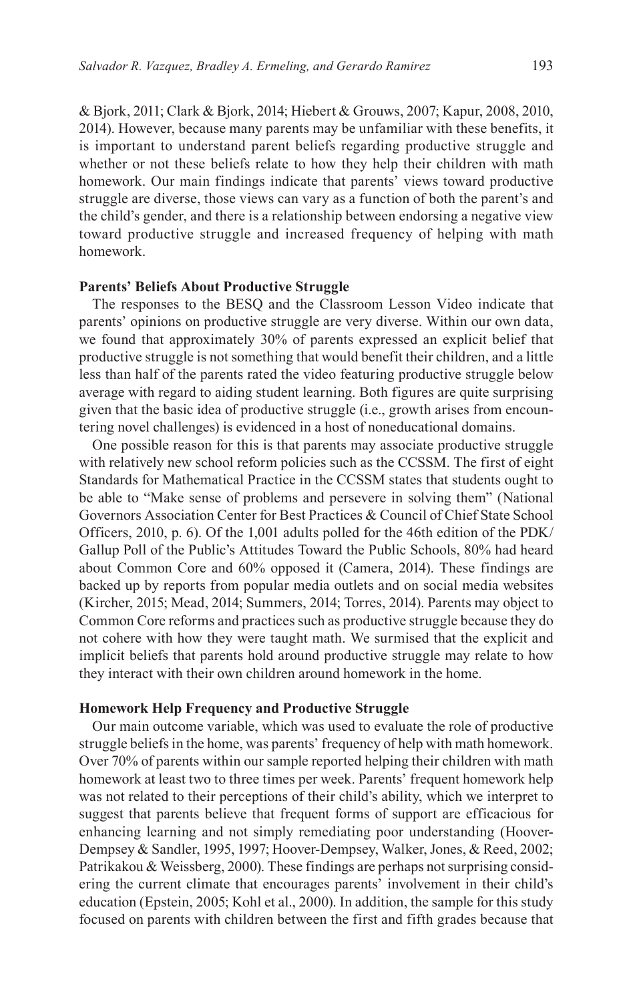[& Bjork, 2011](#page-19-1); [Clark & Bjork, 2014](#page-20-4); [Hiebert & Grouws, 2007](#page-21-0); [Kapur, 2008](#page-21-6), [2010,](#page-21-7) [2014\)](#page-21-8). However, because many parents may be unfamiliar with these benefits, it is important to understand parent beliefs regarding productive struggle and whether or not these beliefs relate to how they help their children with math homework. Our main findings indicate that parents' views toward productive struggle are diverse, those views can vary as a function of both the parent's and the child's gender, and there is a relationship between endorsing a negative view toward productive struggle and increased frequency of helping with math homework.

### **Parents' Beliefs About Productive Struggle**

The responses to the BESQ and the Classroom Lesson Video indicate that parents' opinions on productive struggle are very diverse. Within our own data, we found that approximately 30% of parents expressed an explicit belief that productive struggle is not something that would benefit their children, and a little less than half of the parents rated the video featuring productive struggle below average with regard to aiding student learning. Both figures are quite surprising given that the basic idea of productive struggle (i.e., growth arises from encountering novel challenges) is evidenced in a host of noneducational domains.

One possible reason for this is that parents may associate productive struggle with relatively new school reform policies such as the CCSSM. The first of eight Standards for Mathematical Practice in the CCSSM states that students ought to be able to "Make sense of problems and persevere in solving them" [\(National](#page-22-1)  [Governors Association Center for Best Practices & Council of Chief State School](#page-22-1)  [Officers, 2010,](#page-22-1) p. 6). Of the 1,001 adults polled for the 46th edition of the PDK/ Gallup Poll of the Public's Attitudes Toward the Public Schools, 80% had heard about Common Core and 60% opposed it [\(Camera, 2014\)](#page-20-14). These findings are backed up by reports from popular media outlets and on social media websites ([Kircher, 2015;](#page-21-17) [Mead, 2014](#page-22-18); [Summers, 2014](#page-23-10); [Torres, 2014](#page-23-11)). Parents may object to Common Core reforms and practices such as productive struggle because they do not cohere with how they were taught math. We surmised that the explicit and implicit beliefs that parents hold around productive struggle may relate to how they interact with their own children around homework in the home.

### **Homework Help Frequency and Productive Struggle**

Our main outcome variable, which was used to evaluate the role of productive struggle beliefs in the home, was parents' frequency of help with math homework. Over 70% of parents within our sample reported helping their children with math homework at least two to three times per week. Parents' frequent homework help was not related to their perceptions of their child's ability, which we interpret to suggest that parents believe that frequent forms of support are efficacious for enhancing learning and not simply remediating poor understanding ([Hoover-](#page-21-18)[Dempsey & Sandler, 1995,](#page-21-18) [1997](#page-21-19); [Hoover-Dempsey, Walker, Jones, & Reed, 2002](#page-21-20); [Patrikakou & Weissberg, 2000](#page-22-10)). These findings are perhaps not surprising considering the current climate that encourages parents' involvement in their child's education ([Epstein, 2005;](#page-20-8) [Kohl et al., 2000](#page-21-10)). In addition, the sample for this study focused on parents with children between the first and fifth grades because that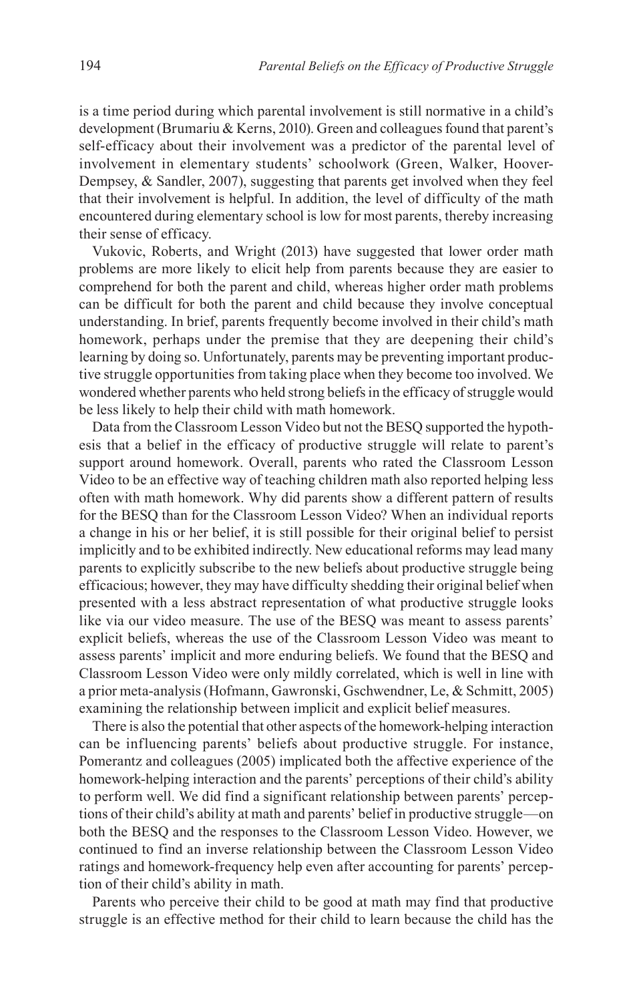is a time period during which parental involvement is still normative in a child's development ([Brumariu & Kerns, 2010\)](#page-20-15). Green and colleagues found that parent's self-efficacy about their involvement was a predictor of the parental level of involvement in elementary students' schoolwork ([Green, Walker, Hoover-](#page-20-16)[Dempsey, & Sandler, 2007\)](#page-20-16), suggesting that parents get involved when they feel that their involvement is helpful. In addition, the level of difficulty of the math encountered during elementary school is low for most parents, thereby increasing their sense of efficacy.

[Vukovic, Roberts, and Wright \(2013\)](#page-23-12) have suggested that lower order math problems are more likely to elicit help from parents because they are easier to comprehend for both the parent and child, whereas higher order math problems can be difficult for both the parent and child because they involve conceptual understanding. In brief, parents frequently become involved in their child's math homework, perhaps under the premise that they are deepening their child's learning by doing so. Unfortunately, parents may be preventing important productive struggle opportunities from taking place when they become too involved. We wondered whether parents who held strong beliefs in the efficacy of struggle would be less likely to help their child with math homework.

Data from the Classroom Lesson Video but not the BESQ supported the hypothesis that a belief in the efficacy of productive struggle will relate to parent's support around homework. Overall, parents who rated the Classroom Lesson Video to be an effective way of teaching children math also reported helping less often with math homework. Why did parents show a different pattern of results for the BESQ than for the Classroom Lesson Video? When an individual reports a change in his or her belief, it is still possible for their original belief to persist implicitly and to be exhibited indirectly. New educational reforms may lead many parents to explicitly subscribe to the new beliefs about productive struggle being efficacious; however, they may have difficulty shedding their original belief when presented with a less abstract representation of what productive struggle looks like via our video measure. The use of the BESQ was meant to assess parents' explicit beliefs, whereas the use of the Classroom Lesson Video was meant to assess parents' implicit and more enduring beliefs. We found that the BESQ and Classroom Lesson Video were only mildly correlated, which is well in line with a prior meta-analysis ([Hofmann, Gawronski, Gschwendner, Le, & Schmitt, 2005\)](#page-21-21) examining the relationship between implicit and explicit belief measures.

There is also the potential that other aspects of the homework-helping interaction can be influencing parents' beliefs about productive struggle. For instance, [Pomerantz and colleagues \(2005\)](#page-22-14) implicated both the affective experience of the homework-helping interaction and the parents' perceptions of their child's ability to perform well. We did find a significant relationship between parents' perceptions of their child's ability at math and parents' belief in productive struggle—on both the BESQ and the responses to the Classroom Lesson Video. However, we continued to find an inverse relationship between the Classroom Lesson Video ratings and homework-frequency help even after accounting for parents' perception of their child's ability in math.

Parents who perceive their child to be good at math may find that productive struggle is an effective method for their child to learn because the child has the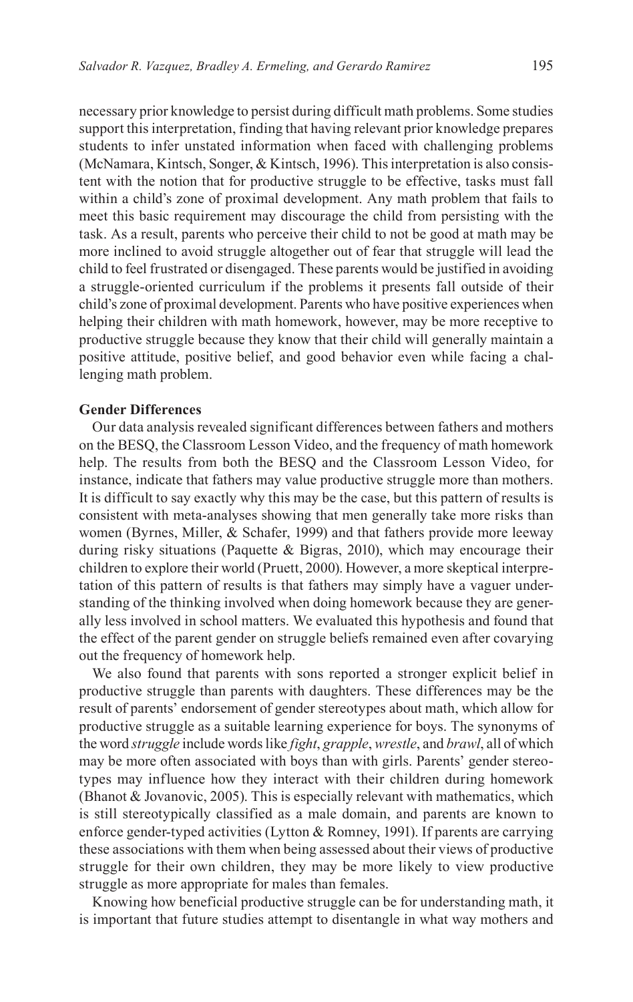necessary prior knowledge to persist during difficult math problems. Some studies support this interpretation, finding that having relevant prior knowledge prepares students to infer unstated information when faced with challenging problems [\(McNamara, Kintsch, Songer, & Kintsch, 1996\)](#page-22-19). This interpretation is also consistent with the notion that for productive struggle to be effective, tasks must fall within a child's zone of proximal development. Any math problem that fails to meet this basic requirement may discourage the child from persisting with the task. As a result, parents who perceive their child to not be good at math may be more inclined to avoid struggle altogether out of fear that struggle will lead the child to feel frustrated or disengaged. These parents would be justified in avoiding a struggle-oriented curriculum if the problems it presents fall outside of their child's zone of proximal development. Parents who have positive experiences when helping their children with math homework, however, may be more receptive to productive struggle because they know that their child will generally maintain a positive attitude, positive belief, and good behavior even while facing a challenging math problem.

### **Gender Differences**

Our data analysis revealed significant differences between fathers and mothers on the BESQ, the Classroom Lesson Video, and the frequency of math homework help. The results from both the BESQ and the Classroom Lesson Video, for instance, indicate that fathers may value productive struggle more than mothers. It is difficult to say exactly why this may be the case, but this pattern of results is consistent with meta-analyses showing that men generally take more risks than women ([Byrnes, Miller, & Schafer, 1999](#page-20-17)) and that fathers provide more leeway during risky situations (Paquette  $\&$  Bigras, 2010), which may encourage their children to explore their world [\(Pruett, 2000\)](#page-22-21). However, a more skeptical interpretation of this pattern of results is that fathers may simply have a vaguer understanding of the thinking involved when doing homework because they are generally less involved in school matters. We evaluated this hypothesis and found that the effect of the parent gender on struggle beliefs remained even after covarying out the frequency of homework help.

We also found that parents with sons reported a stronger explicit belief in productive struggle than parents with daughters. These differences may be the result of parents' endorsement of gender stereotypes about math, which allow for productive struggle as a suitable learning experience for boys. The synonyms of the word *struggle* include words like *fight*, *grapple*, *wrestle*, and *brawl*, all of which may be more often associated with boys than with girls. Parents' gender stereotypes may influence how they interact with their children during homework ([Bhanot & Jovanovic, 2005\)](#page-19-2). This is especially relevant with mathematics, which is still stereotypically classified as a male domain, and parents are known to enforce gender-typed activities [\(Lytton & Romney, 1991](#page-22-17)). If parents are carrying these associations with them when being assessed about their views of productive struggle for their own children, they may be more likely to view productive struggle as more appropriate for males than females.

Knowing how beneficial productive struggle can be for understanding math, it is important that future studies attempt to disentangle in what way mothers and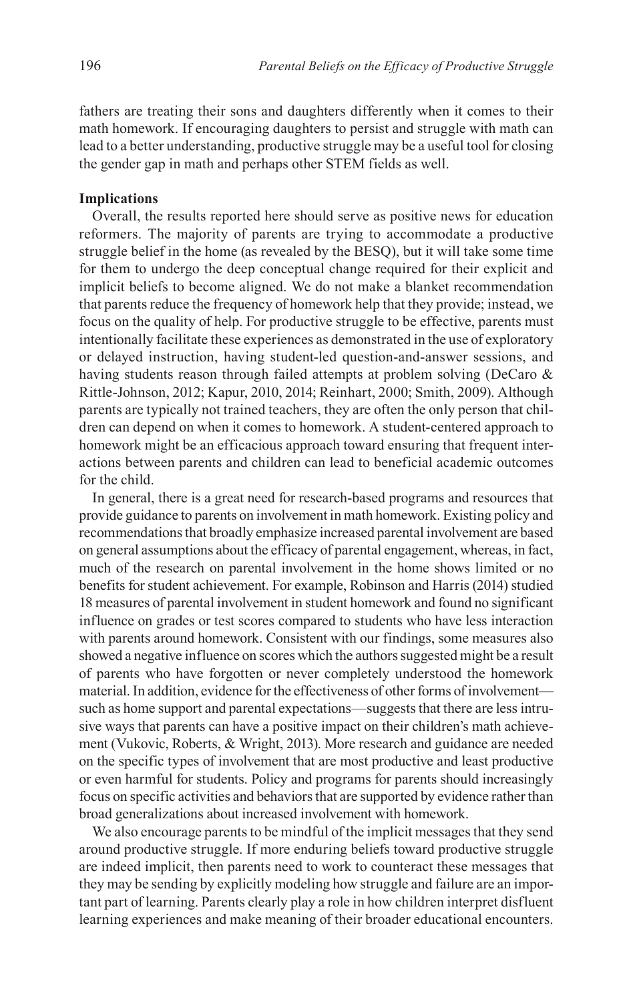fathers are treating their sons and daughters differently when it comes to their math homework. If encouraging daughters to persist and struggle with math can lead to a better understanding, productive struggle may be a useful tool for closing the gender gap in math and perhaps other STEM fields as well.

### **Implications**

Overall, the results reported here should serve as positive news for education reformers. The majority of parents are trying to accommodate a productive struggle belief in the home (as revealed by the BESQ), but it will take some time for them to undergo the deep conceptual change required for their explicit and implicit beliefs to become aligned. We do not make a blanket recommendation that parents reduce the frequency of homework help that they provide; instead, we focus on the quality of help. For productive struggle to be effective, parents must intentionally facilitate these experiences as demonstrated in the use of exploratory or delayed instruction, having student-led question-and-answer sessions, and having students reason through failed attempts at problem solving (DeCaro & [Rittle-Johnson, 2012;](#page-20-18) [Kapur, 2010](#page-21-7), [2014](#page-21-8); [Reinhart, 2000;](#page-22-4) [Smith, 2009](#page-23-2)). Although parents are typically not trained teachers, they are often the only person that children can depend on when it comes to homework. A student-centered approach to homework might be an efficacious approach toward ensuring that frequent interactions between parents and children can lead to beneficial academic outcomes for the child.

In general, there is a great need for research-based programs and resources that provide guidance to parents on involvement in math homework. Existing policy and recommendations that broadly emphasize increased parental involvement are based on general assumptions about the efficacy of parental engagement, whereas, in fact, much of the research on parental involvement in the home shows limited or no benefits for student achievement. For example, [Robinson and Harris \(2014\)](#page-22-13) studied 18 measures of parental involvement in student homework and found no significant influence on grades or test scores compared to students who have less interaction with parents around homework. Consistent with our findings, some measures also showed a negative influence on scores which the authors suggested might be a result of parents who have forgotten or never completely understood the homework material. In addition, evidence for the effectiveness of other forms of involvement such as home support and parental expectations—suggests that there are less intrusive ways that parents can have a positive impact on their children's math achievement [\(Vukovic, Roberts, & Wright, 2013\)](#page-23-12). More research and guidance are needed on the specific types of involvement that are most productive and least productive or even harmful for students. Policy and programs for parents should increasingly focus on specific activities and behaviors that are supported by evidence rather than broad generalizations about increased involvement with homework.

We also encourage parents to be mindful of the implicit messages that they send around productive struggle. If more enduring beliefs toward productive struggle are indeed implicit, then parents need to work to counteract these messages that they may be sending by explicitly modeling how struggle and failure are an important part of learning. Parents clearly play a role in how children interpret disfluent learning experiences and make meaning of their broader educational encounters.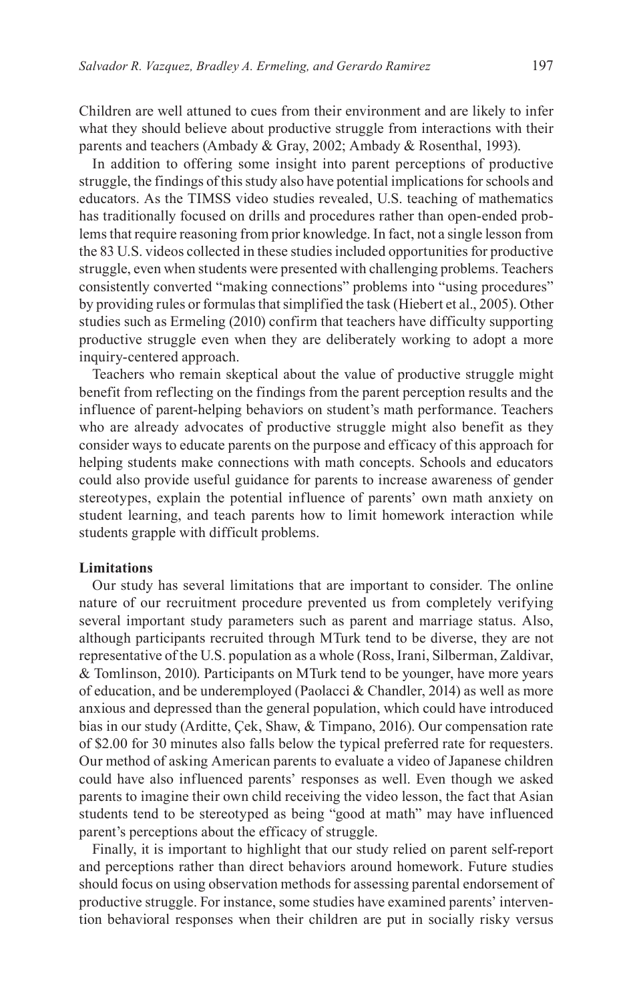Children are well attuned to cues from their environment and are likely to infer what they should believe about productive struggle from interactions with their parents and teachers [\(Ambady & Gray, 2002](#page-19-5); [Ambady & Rosenthal, 1993](#page-19-6)).

In addition to offering some insight into parent perceptions of productive struggle, the findings of this study also have potential implications for schools and educators. As the TIMSS video studies revealed, U.S. teaching of mathematics has traditionally focused on drills and procedures rather than open-ended problems that require reasoning from prior knowledge. In fact, not a single lesson from the 83 U.S. videos collected in these studies included opportunities for productive struggle, even when students were presented with challenging problems. Teachers consistently converted "making connections" problems into "using procedures" by providing rules or formulas that simplified the task ([Hiebert et al., 2005](#page-21-3)). Other studies such as [Ermeling \(2010\)](#page-20-2) confirm that teachers have difficulty supporting productive struggle even when they are deliberately working to adopt a more inquiry-centered approach.

Teachers who remain skeptical about the value of productive struggle might benefit from reflecting on the findings from the parent perception results and the influence of parent-helping behaviors on student's math performance. Teachers who are already advocates of productive struggle might also benefit as they consider ways to educate parents on the purpose and efficacy of this approach for helping students make connections with math concepts. Schools and educators could also provide useful guidance for parents to increase awareness of gender stereotypes, explain the potential influence of parents' own math anxiety on student learning, and teach parents how to limit homework interaction while students grapple with difficult problems.

### **Limitations**

Our study has several limitations that are important to consider. The online nature of our recruitment procedure prevented us from completely verifying several important study parameters such as parent and marriage status. Also, although participants recruited through MTurk tend to be diverse, they are not representative of the U.S. population as a whole [\(Ross, Irani, Silberman, Zaldivar,](#page-22-22)  [& Tomlinson, 2010](#page-22-22)). Participants on MTurk tend to be younger, have more years of education, and be underemployed ([Paolacci & Chandler, 2014](#page-22-23)) as well as more anxious and depressed than the general population, which could have introduced bias in our study [\(Arditte, Çek, Shaw, & Timpano, 2016\)](#page-19-7). Our compensation rate of \$2.00 for 30 minutes also falls below the typical preferred rate for requesters. Our method of asking American parents to evaluate a video of Japanese children could have also influenced parents' responses as well. Even though we asked parents to imagine their own child receiving the video lesson, the fact that Asian students tend to be stereotyped as being "good at math" may have influenced parent's perceptions about the efficacy of struggle.

Finally, it is important to highlight that our study relied on parent self-report and perceptions rather than direct behaviors around homework. Future studies should focus on using observation methods for assessing parental endorsement of productive struggle. For instance, some studies have examined parents' intervention behavioral responses when their children are put in socially risky versus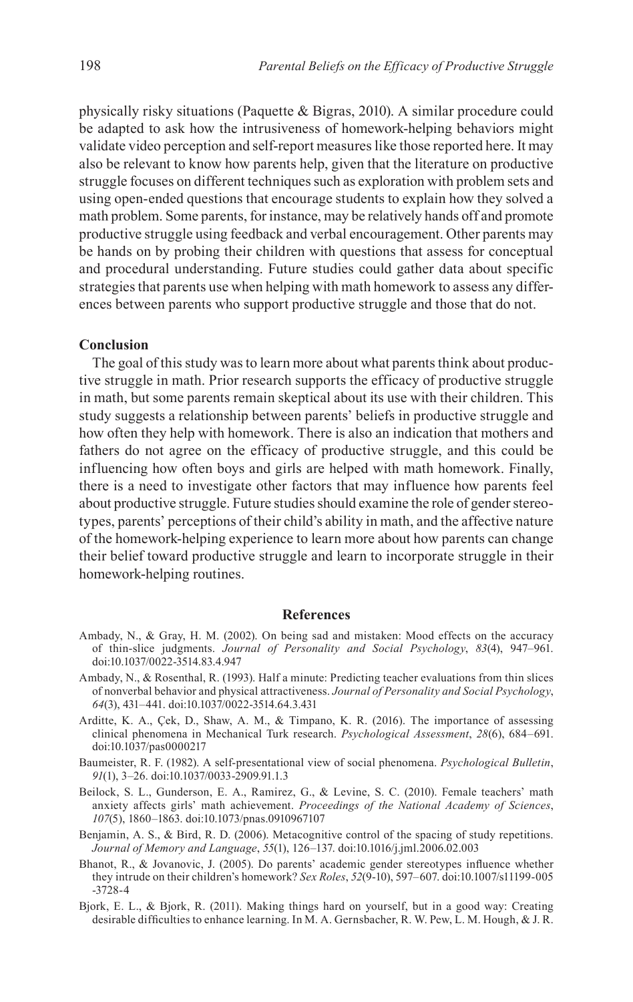physically risky situations ([Paquette & Bigras, 2010\)](#page-22-20). A similar procedure could be adapted to ask how the intrusiveness of homework-helping behaviors might validate video perception and self-report measures like those reported here. It may also be relevant to know how parents help, given that the literature on productive struggle focuses on different techniques such as exploration with problem sets and using open-ended questions that encourage students to explain how they solved a math problem. Some parents, for instance, may be relatively hands off and promote productive struggle using feedback and verbal encouragement. Other parents may be hands on by probing their children with questions that assess for conceptual and procedural understanding. Future studies could gather data about specific strategies that parents use when helping with math homework to assess any differences between parents who support productive struggle and those that do not.

### **Conclusion**

The goal of this study was to learn more about what parents think about productive struggle in math. Prior research supports the efficacy of productive struggle in math, but some parents remain skeptical about its use with their children. This study suggests a relationship between parents' beliefs in productive struggle and how often they help with homework. There is also an indication that mothers and fathers do not agree on the efficacy of productive struggle, and this could be influencing how often boys and girls are helped with math homework. Finally, there is a need to investigate other factors that may influence how parents feel about productive struggle. Future studies should examine the role of gender stereotypes, parents' perceptions of their child's ability in math, and the affective nature of the homework-helping experience to learn more about how parents can change their belief toward productive struggle and learn to incorporate struggle in their homework-helping routines.

### **References**

- <span id="page-19-5"></span>Ambady, N., & Gray, H. M. (2002). On being sad and mistaken: Mood effects on the accuracy of thin-slice judgments. *Journal of Personality and Social Psychology*, *83*(4), 947–961. doi:10.1037/0022-3514.83.4.947
- <span id="page-19-6"></span>Ambady, N., & Rosenthal, R. (1993). Half a minute: Predicting teacher evaluations from thin slices of nonverbal behavior and physical attractiveness. *Journal of Personality and Social Psychology*, *64*(3), 431–441. doi:10.1037/0022-3514.64.3.431
- <span id="page-19-7"></span>Arditte, K. A., Çek, D., Shaw, A. M., & Timpano, K. R. (2016). The importance of assessing clinical phenomena in Mechanical Turk research. *Psychological Assessment*, *28*(6), 684–691. doi:10.1037/pas0000217
- <span id="page-19-3"></span>Baumeister, R. F. (1982). A self-presentational view of social phenomena. *Psychological Bulletin*, *91*(1), 3–26. doi:10.1037/0033-2909.91.1.3
- <span id="page-19-4"></span>Beilock, S. L., Gunderson, E. A., Ramirez, G., & Levine, S. C. (2010). Female teachers' math anxiety affects girls' math achievement. *Proceedings of the National Academy of Sciences*, *107*(5), 1860–1863. doi:10.1073/pnas.0910967107
- <span id="page-19-0"></span>Benjamin, A. S., & Bird, R. D. (2006). Metacognitive control of the spacing of study repetitions. *Journal of Memory and Language*, *55*(1), 126–137. doi:10.1016/j.jml.2006.02.003
- <span id="page-19-2"></span>Bhanot, R., & Jovanovic, J. (2005). Do parents' academic gender stereotypes influence whether they intrude on their children's homework? *Sex Roles*, *52*(9-10), 597–607. doi:10.1007/s11199-005 -3728-4
- <span id="page-19-1"></span>Bjork, E. L., & Bjork, R. (2011). Making things hard on yourself, but in a good way: Creating desirable difficulties to enhance learning. In M. A. Gernsbacher, R. W. Pew, L. M. Hough, & J. R.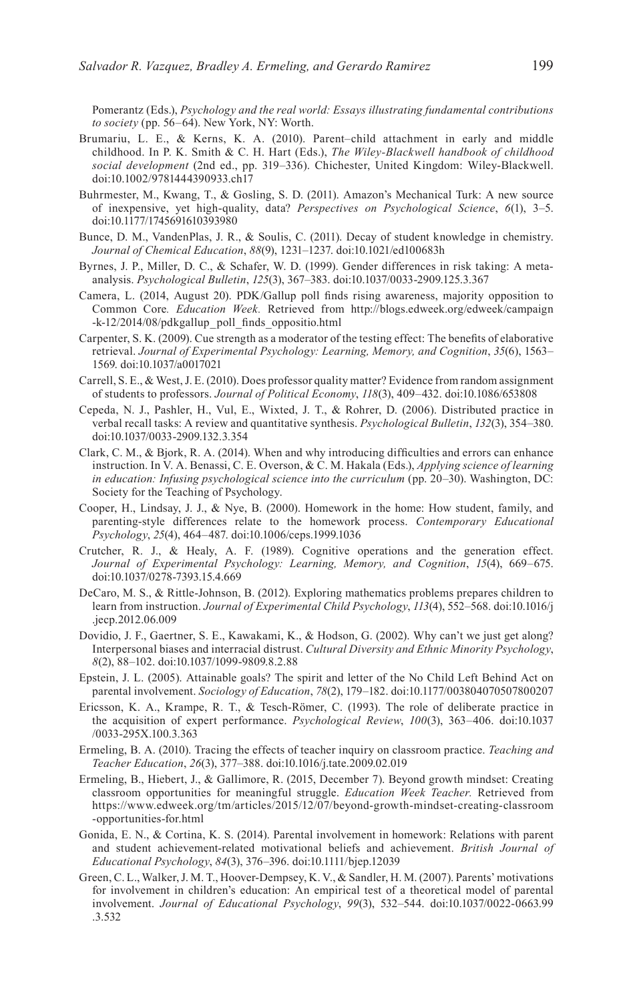Pomerantz (Eds.), *Psychology and the real world: Essays illustrating fundamental contributions to society* (pp. 56–64). New York, NY: Worth.

- <span id="page-20-15"></span>Brumariu, L. E., & Kerns, K. A. (2010). Parent–child attachment in early and middle childhood. In P. K. Smith & C. H. Hart (Eds.), *The Wiley-Blackwell handbook of childhood social development* (2nd ed., pp. 319–336). Chichester, United Kingdom: Wiley-Blackwell. doi:10.1002/9781444390933.ch17
- <span id="page-20-13"></span>Buhrmester, M., Kwang, T., & Gosling, S. D. (2011). Amazon's Mechanical Turk: A new source of inexpensive, yet high-quality, data? *Perspectives on Psychological Science*, *6*(1), 3–5. doi:10.1177/1745691610393980
- <span id="page-20-6"></span>Bunce, D. M., VandenPlas, J. R., & Soulis, C. (2011). Decay of student knowledge in chemistry. *Journal of Chemical Education*, *88*(9), 1231–1237. doi:10.1021/ed100683h
- <span id="page-20-17"></span>Byrnes, J. P., Miller, D. C., & Schafer, W. D. (1999). Gender differences in risk taking: A metaanalysis. *Psychological Bulletin*, *125*(3), 367–383. doi:10.1037/0033-2909.125.3.367
- <span id="page-20-14"></span>Camera, L. (2014, August 20). PDK/Gallup poll finds rising awareness, majority opposition to Common Core*. Education Week.* Retrieved from [http://blogs.edweek.org/edweek/campaign](http://blogs.edweek.org/edweek/campaign-k-12/2014/08/pdkgallup_poll_finds_oppositio.html) [-k-12/2014/08/pdkgallup\\_poll\\_finds\\_oppositio.html](http://blogs.edweek.org/edweek/campaign-k-12/2014/08/pdkgallup_poll_finds_oppositio.html)
- <span id="page-20-3"></span>Carpenter, S. K. (2009). Cue strength as a moderator of the testing effect: The benefits of elaborative retrieval. *Journal of Experimental Psychology: Learning, Memory, and Cognition*, *35*(6), 1563– 1569. doi:10.1037/a0017021
- <span id="page-20-11"></span>Carrell, S. E., & West, J. E. (2010). Does professor quality matter? Evidence from random assignment of students to professors. *Journal of Political Economy*, *118*(3), 409–432. doi:10.1086/653808
- <span id="page-20-5"></span>Cepeda, N. J., Pashler, H., Vul, E., Wixted, J. T., & Rohrer, D. (2006). Distributed practice in verbal recall tasks: A review and quantitative synthesis. *Psychological Bulletin*, *132*(3), 354–380. doi:10.1037/0033-2909.132.3.354
- <span id="page-20-4"></span>Clark, C. M., & Bjork, R. A. (2014). When and why introducing difficulties and errors can enhance instruction. In V. A. Benassi, C. E. Overson, & C. M. Hakala (Eds.), *Applying science of learning in education: Infusing psychological science into the curriculum* (pp. 20–30). Washington, DC: Society for the Teaching of Psychology.
- <span id="page-20-9"></span>Cooper, H., Lindsay, J. J., & Nye, B. (2000). Homework in the home: How student, family, and parenting-style differences relate to the homework process. *Contemporary Educational Psychology*, *25*(4), 464–487. doi:10.1006/ceps.1999.1036
- <span id="page-20-7"></span>Crutcher, R. J., & Healy, A. F. (1989). Cognitive operations and the generation effect. *Journal of Experimental Psychology: Learning, Memory, and Cognition*, *15*(4), 669–675. doi:10.1037/0278-7393.15.4.669
- <span id="page-20-18"></span>DeCaro, M. S., & Rittle-Johnson, B. (2012). Exploring mathematics problems prepares children to learn from instruction. *Journal of Experimental Child Psychology*, *113*(4), 552–568. doi:10.1016/j .jecp.2012.06.009
- <span id="page-20-12"></span>Dovidio, J. F., Gaertner, S. E., Kawakami, K., & Hodson, G. (2002). Why can't we just get along? Interpersonal biases and interracial distrust. *Cultural Diversity and Ethnic Minority Psychology*, *8*(2), 88–102. doi:10.1037/1099-9809.8.2.88
- <span id="page-20-8"></span>Epstein, J. L. (2005). Attainable goals? The spirit and letter of the No Child Left Behind Act on parental involvement. *Sociology of Education*, *78*(2), 179–182. doi:10.1177/003804070507800207
- <span id="page-20-1"></span>Ericsson, K. A., Krampe, R. T., & Tesch-Römer, C. (1993). The role of deliberate practice in the acquisition of expert performance. *Psychological Review*, *100*(3), 363–406. doi:10.1037 /0033-295X.100.3.363
- <span id="page-20-2"></span>Ermeling, B. A. (2010). Tracing the effects of teacher inquiry on classroom practice. *Teaching and Teacher Education*, *26*(3), 377–388. doi:10.1016/j.tate.2009.02.019
- <span id="page-20-0"></span>Ermeling, B., Hiebert, J., & Gallimore, R. (2015, December 7). Beyond growth mindset: Creating classroom opportunities for meaningful struggle. *Education Week Teacher.* Retrieved from [https://www.edweek.org/tm/articles/2015/12/07/beyond-growth-mindset-creating-classroom](https://www.edweek.org/tm/articles/2015/12/07/beyond-growth-mindset-creating-classroom-opportunities-for.html) [-opportunities-for.html](https://www.edweek.org/tm/articles/2015/12/07/beyond-growth-mindset-creating-classroom-opportunities-for.html)
- <span id="page-20-10"></span>Gonida, E. N., & Cortina, K. S. (2014). Parental involvement in homework: Relations with parent and student achievement-related motivational beliefs and achievement. *British Journal of Educational Psychology*, *84*(3), 376–396. doi:10.1111/bjep.12039
- <span id="page-20-16"></span>Green, C. L., Walker, J. M. T., Hoover-Dempsey, K. V., & Sandler, H. M. (2007). Parents' motivations for involvement in children's education: An empirical test of a theoretical model of parental involvement. *Journal of Educational Psychology*, *99*(3), 532–544. doi:10.1037/0022-0663.99 .3.532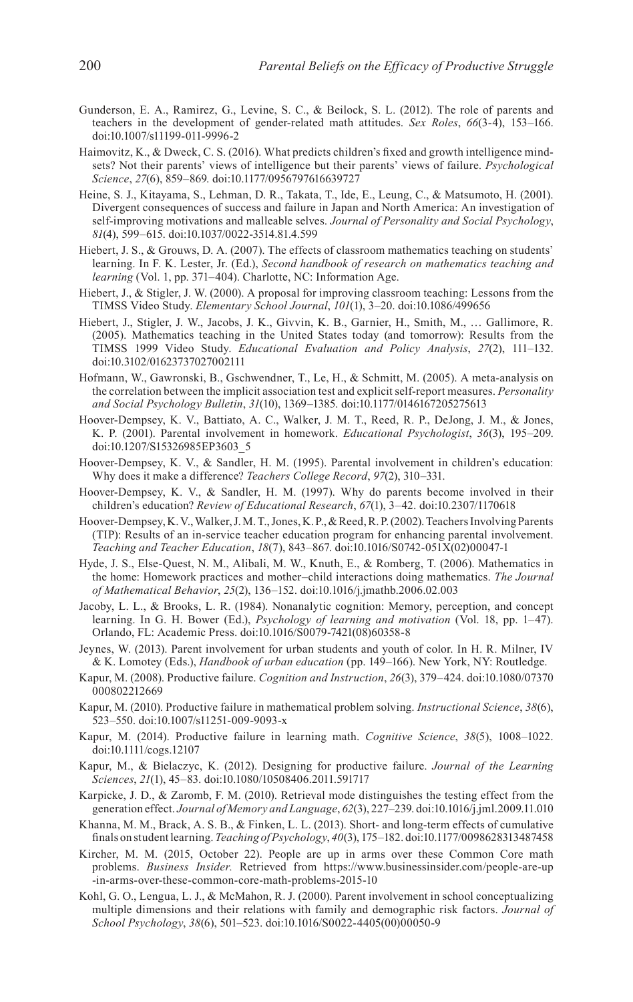- <span id="page-21-15"></span>Gunderson, E. A., Ramirez, G., Levine, S. C., & Beilock, S. L. (2012). The role of parents and teachers in the development of gender-related math attitudes. *Sex Roles*, *66*(3-4), 153–166. doi:10.1007/s11199-011-9996-2
- <span id="page-21-12"></span>Haimovitz, K., & Dweck, C. S. (2016). What predicts children's fixed and growth intelligence mindsets? Not their parents' views of intelligence but their parents' views of failure. *Psychological Science*, *27*(6), 859–869. doi:10.1177/0956797616639727
- <span id="page-21-13"></span>Heine, S. J., Kitayama, S., Lehman, D. R., Takata, T., Ide, E., Leung, C., & Matsumoto, H. (2001). Divergent consequences of success and failure in Japan and North America: An investigation of self-improving motivations and malleable selves. *Journal of Personality and Social Psychology*, *81*(4), 599–615. doi:10.1037/0022-3514.81.4.599
- <span id="page-21-0"></span>Hiebert, J. S., & Grouws, D. A. (2007). The effects of classroom mathematics teaching on students' learning. In F. K. Lester, Jr. (Ed.), *Second handbook of research on mathematics teaching and learning* (Vol. 1, pp. 371–404). Charlotte, NC: Information Age.
- <span id="page-21-2"></span>Hiebert, J., & Stigler, J. W. (2000). A proposal for improving classroom teaching: Lessons from the TIMSS Video Study. *Elementary School Journal*, *101*(1), 3–20. doi:10.1086/499656
- <span id="page-21-3"></span>Hiebert, J., Stigler, J. W., Jacobs, J. K., Givvin, K. B., Garnier, H., Smith, M., … Gallimore, R. (2005). Mathematics teaching in the United States today (and tomorrow): Results from the TIMSS 1999 Video Study. *Educational Evaluation and Policy Analysis*, *27*(2), 111–132. doi:10.3102/01623737027002111
- <span id="page-21-21"></span>Hofmann, W., Gawronski, B., Gschwendner, T., Le, H., & Schmitt, M. (2005). A meta-analysis on the correlation between the implicit association test and explicit self-report measures. *Personality and Social Psychology Bulletin*, *31*(10), 1369–1385. doi:10.1177/0146167205275613
- <span id="page-21-11"></span>Hoover-Dempsey, K. V., Battiato, A. C., Walker, J. M. T., Reed, R. P., DeJong, J. M., & Jones, K. P. (2001). Parental involvement in homework. *Educational Psychologist*, *36*(3), 195–209. doi:10.1207/S15326985EP3603\_5
- <span id="page-21-18"></span>Hoover-Dempsey, K. V., & Sandler, H. M. (1995). Parental involvement in children's education: Why does it make a difference? *Teachers College Record*, *97*(2), 310–331.
- <span id="page-21-19"></span>Hoover-Dempsey, K. V., & Sandler, H. M. (1997). Why do parents become involved in their children's education? *Review of Educational Research*, *67*(1), 3–42. doi:10.2307/1170618
- <span id="page-21-20"></span>Hoover-Dempsey, K. V., Walker, J. M. T., Jones, K. P., & Reed, R. P. (2002). Teachers Involving Parents (TIP): Results of an in-service teacher education program for enhancing parental involvement. *Teaching and Teacher Education*, *18*(7), 843–867. doi:10.1016/S0742-051X(02)00047-1
- <span id="page-21-16"></span>Hyde, J. S., Else-Quest, N. M., Alibali, M. W., Knuth, E., & Romberg, T. (2006). Mathematics in the home: Homework practices and mother–child interactions doing mathematics. *The Journal of Mathematical Behavior*, *25*(2), 136–152. doi:10.1016/j.jmathb.2006.02.003
- <span id="page-21-14"></span>Jacoby, L. L., & Brooks, L. R. (1984). Nonanalytic cognition: Memory, perception, and concept learning. In G. H. Bower (Ed.), *Psychology of learning and motivation* (Vol. 18, pp. 1–47). Orlando, FL: Academic Press. doi:10.1016/S0079-7421(08)60358-8
- <span id="page-21-9"></span>Jeynes, W. (2013). Parent involvement for urban students and youth of color. In H. R. Milner, IV & K. Lomotey (Eds.), *Handbook of urban education* (pp. 149–166). New York, NY: Routledge.
- <span id="page-21-6"></span>Kapur, M. (2008). Productive failure. *Cognition and Instruction*, *26*(3), 379–424. doi:10.1080/07370 000802212669
- <span id="page-21-7"></span>Kapur, M. (2010). Productive failure in mathematical problem solving. *Instructional Science*, *38*(6), 523–550. doi:10.1007/s11251-009-9093-x
- <span id="page-21-8"></span>Kapur, M. (2014). Productive failure in learning math. *Cognitive Science*, *38*(5), 1008–1022. doi:10.1111/cogs.12107
- <span id="page-21-1"></span>Kapur, M., & Bielaczyc, K. (2012). Designing for productive failure. *Journal of the Learning Sciences*, *21*(1), 45–83. doi:10.1080/10508406.2011.591717
- <span id="page-21-4"></span>Karpicke, J. D., & Zaromb, F. M. (2010). Retrieval mode distinguishes the testing effect from the generation effect. *Journal of Memory and Language*, *62*(3), 227–239. doi:10.1016/j.jml.2009.11.010
- <span id="page-21-5"></span>Khanna, M. M., Brack, A. S. B., & Finken, L. L. (2013). Short- and long-term effects of cumulative finals on student learning. *Teaching of Psychology*, *40*(3), 175–182. doi:10.1177/0098628313487458
- <span id="page-21-17"></span>Kircher, M. M. (2015, October 22). People are up in arms over these Common Core math problems. *Business Insider.* Retrieved from [https://www.businessinsider.com/people-are-up](https://www.businessinsider.com/people-are-up-in-arms-over-these-common-core-math-problems-2015-10) [-in-arms-over-these-common-core-math-problems-2015-10](https://www.businessinsider.com/people-are-up-in-arms-over-these-common-core-math-problems-2015-10)
- <span id="page-21-10"></span>Kohl, G. O., Lengua, L. J., & McMahon, R. J. (2000). Parent involvement in school conceptualizing multiple dimensions and their relations with family and demographic risk factors. *Journal of School Psychology*, *38*(6), 501–523. doi:10.1016/S0022-4405(00)00050-9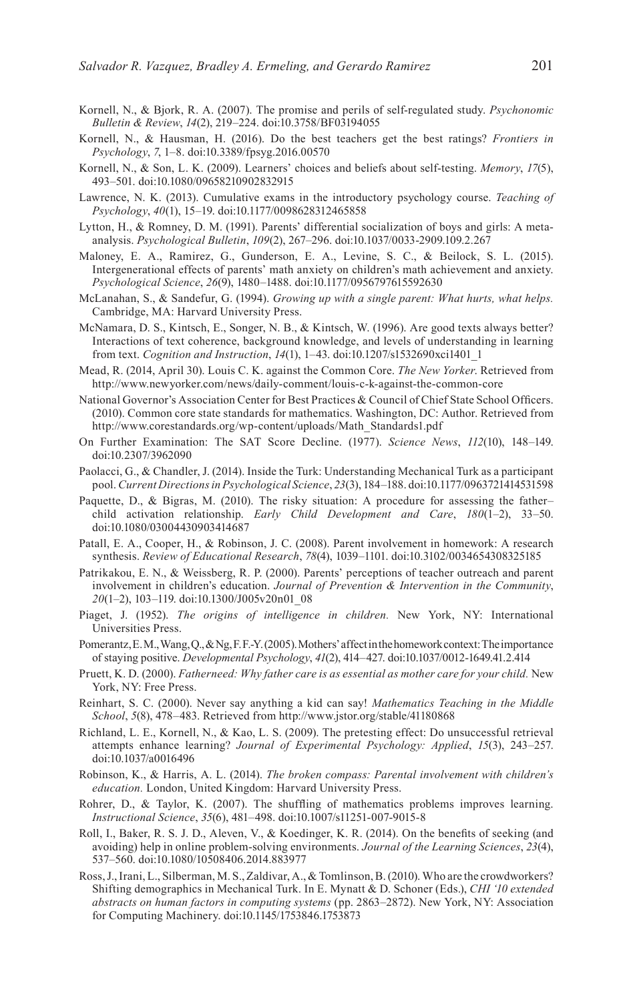- <span id="page-22-16"></span>Kornell, N., & Bjork, R. A. (2007). The promise and perils of self-regulated study. *Psychonomic Bulletin & Review*, *14*(2), 219–224. doi:10.3758/BF03194055
- <span id="page-22-15"></span>Kornell, N., & Hausman, H. (2016). Do the best teachers get the best ratings? *Frontiers in Psychology*, *7*, 1–8. doi:10.3389/fpsyg.2016.00570
- <span id="page-22-0"></span>Kornell, N., & Son, L. K. (2009). Learners' choices and beliefs about self-testing. *Memory*, *17*(5), 493–501. doi:10.1080/09658210902832915
- <span id="page-22-7"></span>Lawrence, N. K. (2013). Cumulative exams in the introductory psychology course. *Teaching of Psychology*, *40*(1), 15–19. doi:10.1177/0098628312465858
- <span id="page-22-17"></span>Lytton, H., & Romney, D. M. (1991). Parents' differential socialization of boys and girls: A metaanalysis. *Psychological Bulletin*, *109*(2), 267–296. doi:10.1037/0033-2909.109.2.267
- <span id="page-22-12"></span>Maloney, E. A., Ramirez, G., Gunderson, E. A., Levine, S. C., & Beilock, S. L. (2015). Intergenerational effects of parents' math anxiety on children's math achievement and anxiety. *Psychological Science*, *26*(9), 1480–1488. doi:10.1177/0956797615592630
- <span id="page-22-8"></span>McLanahan, S., & Sandefur, G. (1994). *Growing up with a single parent: What hurts, what helps.* Cambridge, MA: Harvard University Press.
- <span id="page-22-19"></span>McNamara, D. S., Kintsch, E., Songer, N. B., & Kintsch, W. (1996). Are good texts always better? Interactions of text coherence, background knowledge, and levels of understanding in learning from text. *Cognition and Instruction*, *14*(1), 1–43. doi:10.1207/s1532690xci1401\_1
- <span id="page-22-18"></span>Mead, R. (2014, April 30). Louis C. K. against the Common Core. *The New Yorker*. Retrieved from <http://www.newyorker.com/news/daily-comment/louis-c-k-against-the-common-core>
- <span id="page-22-1"></span>National Governor's Association Center for Best Practices & Council of Chief State School Officers. (2010). Common core state standards for mathematics. Washington, DC: Author. Retrieved from [http://www.corestandards.org/wp-content/uploads/Math\\_Standards1.pdf](http://www.corestandards.org/wp-content/uploads/Math_Standards1.pdf)
- <span id="page-22-9"></span>On Further Examination: The SAT Score Decline. (1977). *Science News*, *112*(10), 148–149. doi:10.2307/3962090
- <span id="page-22-23"></span>Paolacci, G., & Chandler, J. (2014). Inside the Turk: Understanding Mechanical Turk as a participant pool. *Current Directions in Psychological Science*, *23*(3), 184–188. doi:10.1177/0963721414531598
- <span id="page-22-20"></span>Paquette, D., & Bigras, M. (2010). The risky situation: A procedure for assessing the father– child activation relationship. *Early Child Development and Care*, *180*(1–2), 33–50. doi:10.1080/03004430903414687
- <span id="page-22-11"></span>Patall, E. A., Cooper, H., & Robinson, J. C. (2008). Parent involvement in homework: A research synthesis. *Review of Educational Research*, *78*(4), 1039–1101. doi:10.3102/0034654308325185
- <span id="page-22-10"></span>Patrikakou, E. N., & Weissberg, R. P. (2000). Parents' perceptions of teacher outreach and parent involvement in children's education. *Journal of Prevention & Intervention in the Community*, *20*(1–2), 103–119. doi:10.1300/J005v20n01\_08
- <span id="page-22-3"></span>Piaget, J. (1952). *The origins of intelligence in children.* New York, NY: International Universities Press.
- <span id="page-22-14"></span>Pomerantz, E. M., Wang, Q., & Ng, F. F.-Y. (2005). Mothers' affect in the homework context: The importance of staying positive. *Developmental Psychology*, *41*(2), 414–427. doi:10.1037/0012-1649.41.2.414
- <span id="page-22-21"></span>Pruett, K. D. (2000). *Fatherneed: Why father care is as essential as mother care for your child.* New York, NY: Free Press.
- <span id="page-22-4"></span>Reinhart, S. C. (2000). Never say anything a kid can say! *Mathematics Teaching in the Middle School*, *5*(8), 478–483. Retrieved from <http://www.jstor.org/stable/41180868>
- <span id="page-22-5"></span>Richland, L. E., Kornell, N., & Kao, L. S. (2009). The pretesting effect: Do unsuccessful retrieval attempts enhance learning? *Journal of Experimental Psychology: Applied*, *15*(3), 243–257. doi:10.1037/a0016496
- <span id="page-22-13"></span>Robinson, K., & Harris, A. L. (2014). *The broken compass: Parental involvement with children's education.* London, United Kingdom: Harvard University Press.
- <span id="page-22-6"></span>Rohrer, D., & Taylor, K. (2007). The shuffling of mathematics problems improves learning. *Instructional Science*, *35*(6), 481–498. doi:10.1007/s11251-007-9015-8
- <span id="page-22-2"></span>Roll, I., Baker, R. S. J. D., Aleven, V., & Koedinger, K. R. (2014). On the benefits of seeking (and avoiding) help in online problem-solving environments. *Journal of the Learning Sciences*, *23*(4), 537–560. doi:10.1080/10508406.2014.883977
- <span id="page-22-22"></span>Ross, J., Irani, L., Silberman, M. S., Zaldivar, A., & Tomlinson, B. (2010). Who are the crowdworkers? Shifting demographics in Mechanical Turk. In E. Mynatt & D. Schoner (Eds.), *CHI '10 extended abstracts on human factors in computing systems* (pp. 2863–2872). New York, NY: Association for Computing Machinery. doi:10.1145/1753846.1753873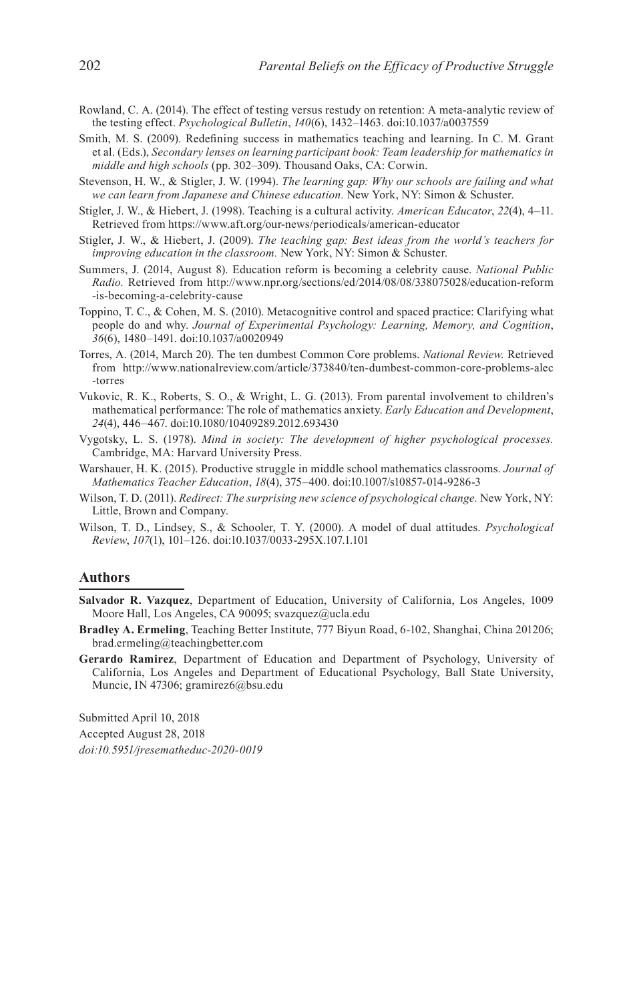- <span id="page-23-3"></span>Rowland, C. A. (2014). The effect of testing versus restudy on retention: A meta-analytic review of the testing effect. *Psychological Bulletin*, *140*(6), 1432–1463. doi:10.1037/a0037559
- <span id="page-23-2"></span>Smith, M. S. (2009). Redefining success in mathematics teaching and learning. In C. M. Grant et al. (Eds.), *Secondary lenses on learning participant book: Team leadership for mathematics in middle and high schools* (pp. 302–309). Thousand Oaks, CA: Corwin.
- <span id="page-23-5"></span>Stevenson, H. W., & Stigler, J. W. (1994). *The learning gap: Why our schools are failing and what we can learn from Japanese and Chinese education.* New York, NY: Simon & Schuster.
- <span id="page-23-7"></span>Stigler, J. W., & Hiebert, J. (1998). Teaching is a cultural activity. *American Educator*, *22*(4), 4–11. Retrieved from <https://www.aft.org/our-news/periodicals/american-educator>
- <span id="page-23-6"></span>Stigler, J. W., & Hiebert, J. (2009). *The teaching gap: Best ideas from the world's teachers for improving education in the classroom.* New York, NY: Simon & Schuster.
- <span id="page-23-10"></span>Summers, J. (2014, August 8). Education reform is becoming a celebrity cause. *National Public Radio.* Retrieved from [http://www.npr.org/sections/ed/2014/08/08/338075028/education-reform](http://www.npr.org/sections/ed/2014/08/08/338075028/education-reform-is-becoming-a-celebrity-cause) [-is-becoming-a-celebrity-cause](http://www.npr.org/sections/ed/2014/08/08/338075028/education-reform-is-becoming-a-celebrity-cause)
- <span id="page-23-4"></span>Toppino, T. C., & Cohen, M. S. (2010). Metacognitive control and spaced practice: Clarifying what people do and why. *Journal of Experimental Psychology: Learning, Memory, and Cognition*, *36*(6), 1480–1491. doi:10.1037/a0020949
- <span id="page-23-11"></span>Torres, A. (2014, March 20). The ten dumbest Common Core problems. *National Review.* Retrieved from [http://www.nationalreview.com/article/373840/ten-dumbest-common-core-problems-alec](http://www.nationalreview.com/article/373840/ten-dumbest-common-core-problems-alec-torres) [-torres](http://www.nationalreview.com/article/373840/ten-dumbest-common-core-problems-alec-torres)
- <span id="page-23-12"></span>Vukovic, R. K., Roberts, S. O., & Wright, L. G. (2013). From parental involvement to children's mathematical performance: The role of mathematics anxiety. *Early Education and Development*, *24*(4), 446–467. doi:10.1080/10409289.2012.693430
- <span id="page-23-0"></span>Vygotsky, L. S. (1978). *Mind in society: The development of higher psychological processes.* Cambridge, MA: Harvard University Press.
- <span id="page-23-1"></span>Warshauer, H. K. (2015). Productive struggle in middle school mathematics classrooms. *Journal of Mathematics Teacher Education*, *18*(4), 375–400. doi:10.1007/s10857-014-9286-3
- <span id="page-23-9"></span>Wilson, T. D. (2011). *Redirect: The surprising new science of psychological change.* New York, NY: Little, Brown and Company.
- <span id="page-23-8"></span>Wilson, T. D., Lindsey, S., & Schooler, T. Y. (2000). A model of dual attitudes. *Psychological Review*, *107*(1), 101–126. doi:10.1037/0033-295X.107.1.101

#### **Authors**

- **Salvador R. Vazquez**, Department of Education, University of California, Los Angeles, 1009 Moore Hall, Los Angeles, CA 90095; svazquez@ucla.edu
- **Bradley A. Ermeling**, Teaching Better Institute, 777 Biyun Road, 6-102, Shanghai, China 201206; brad.ermeling@teachingbetter.com
- **Gerardo Ramirez**, Department of Education and Department of Psychology, University of California, Los Angeles and Department of Educational Psychology, Ball State University, Muncie, IN 47306; gramirez6@bsu.edu

Submitted April 10, 2018 Accepted August 28, 2018 *doi:10.5951/jresematheduc-2020-0019*